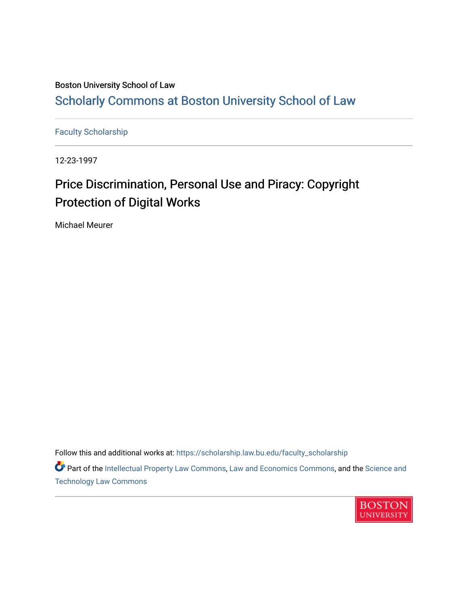# Boston University School of Law [Scholarly Commons at Boston University School of Law](https://scholarship.law.bu.edu/)

[Faculty Scholarship](https://scholarship.law.bu.edu/faculty_scholarship)

12-23-1997

# Price Discrimination, Personal Use and Piracy: Copyright Protection of Digital Works

Michael Meurer

Follow this and additional works at: [https://scholarship.law.bu.edu/faculty\\_scholarship](https://scholarship.law.bu.edu/faculty_scholarship?utm_source=scholarship.law.bu.edu%2Ffaculty_scholarship%2F1395&utm_medium=PDF&utm_campaign=PDFCoverPages)

**Part of the [Intellectual Property Law Commons,](http://network.bepress.com/hgg/discipline/896?utm_source=scholarship.law.bu.edu%2Ffaculty_scholarship%2F1395&utm_medium=PDF&utm_campaign=PDFCoverPages) [Law and Economics Commons](http://network.bepress.com/hgg/discipline/612?utm_source=scholarship.law.bu.edu%2Ffaculty_scholarship%2F1395&utm_medium=PDF&utm_campaign=PDFCoverPages), and the [Science and](http://network.bepress.com/hgg/discipline/875?utm_source=scholarship.law.bu.edu%2Ffaculty_scholarship%2F1395&utm_medium=PDF&utm_campaign=PDFCoverPages)** [Technology Law Commons](http://network.bepress.com/hgg/discipline/875?utm_source=scholarship.law.bu.edu%2Ffaculty_scholarship%2F1395&utm_medium=PDF&utm_campaign=PDFCoverPages) 

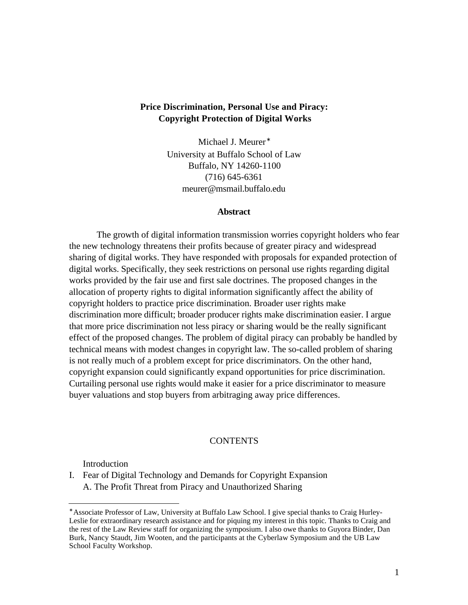# **Price Discrimination, Personal Use and Piracy: Copyright Protection of Digital Works**

Michael J. Meurer University at Buffalo School of Law Buffalo, NY 14260-1100 (716) 645-6361 meurer@msmail.buffalo.edu

#### **Abstract**

The growth of digital information transmission worries copyright holders who fear the new technology threatens their profits because of greater piracy and widespread sharing of digital works. They have responded with proposals for expanded protection of digital works. Specifically, they seek restrictions on personal use rights regarding digital works provided by the fair use and first sale doctrines. The proposed changes in the allocation of property rights to digital information significantly affect the ability of copyright holders to practice price discrimination. Broader user rights make discrimination more difficult; broader producer rights make discrimination easier. I argue that more price discrimination not less piracy or sharing would be the really significant effect of the proposed changes. The problem of digital piracy can probably be handled by technical means with modest changes in copyright law. The so-called problem of sharing is not really much of a problem except for price discriminators. On the other hand, copyright expansion could significantly expand opportunities for price discrimination. Curtailing personal use rights would make it easier for a price discriminator to measure buyer valuations and stop buyers from arbitraging away price differences.

#### **CONTENTS**

Introduction

 $\overline{a}$ 

I. Fear of Digital Technology and Demands for Copyright Expansion A. The Profit Threat from Piracy and Unauthorized Sharing

Associate Professor of Law, University at Buffalo Law School. I give special thanks to Craig Hurley-Leslie for extraordinary research assistance and for piquing my interest in this topic. Thanks to Craig and the rest of the Law Review staff for organizing the symposium. I also owe thanks to Guyora Binder, Dan Burk, Nancy Staudt, Jim Wooten, and the participants at the Cyberlaw Symposium and the UB Law School Faculty Workshop.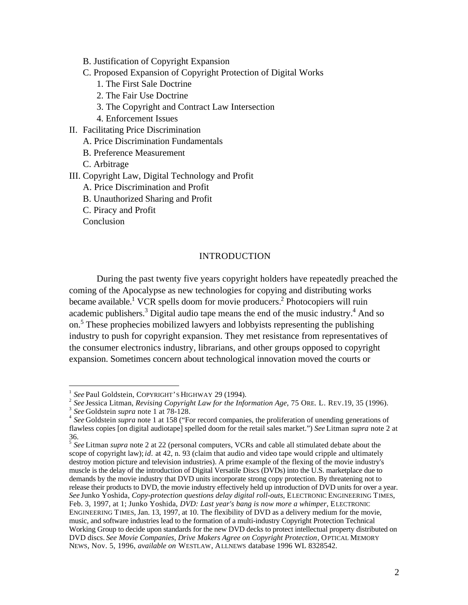- B. Justification of Copyright Expansion
- C. Proposed Expansion of Copyright Protection of Digital Works
	- 1. The First Sale Doctrine
	- 2. The Fair Use Doctrine
	- 3. The Copyright and Contract Law Intersection
	- 4. Enforcement Issues
- II. Facilitating Price Discrimination
	- A. Price Discrimination Fundamentals
	- B. Preference Measurement
	- C. Arbitrage

III. Copyright Law, Digital Technology and Profit

- A. Price Discrimination and Profit
- B. Unauthorized Sharing and Profit
- C. Piracy and Profit

Conclusion

### INTRODUCTION

During the past twenty five years copyright holders have repeatedly preached the coming of the Apocalypse as new technologies for copying and distributing works became available.<sup>1</sup> VCR spells doom for movie producers.<sup>2</sup> Photocopiers will ruin academic publishers.<sup>3</sup> Digital audio tape means the end of the music industry.<sup>4</sup> And so on.<sup>5</sup> These prophecies mobilized lawyers and lobbyists representing the publishing industry to push for copyright expansion. They met resistance from representatives of the consumer electronics industry, librarians, and other groups opposed to copyright expansion. Sometimes concern about technological innovation moved the courts or

<sup>1</sup> *See* Paul Goldstein, COPYRIGHT'S HIGHWAY 29 (1994).

<sup>2</sup> *See* Jessica Litman, *Revising Copyright Law for the Information Age*, 75 ORE. L. REV.19, 35 (1996).

<sup>3</sup> *See* Goldstein *supra* note 1 at 78-128.

<sup>4</sup> *See* Goldstein *supra* note 1 at 158 ("For record companies, the proliferation of unending generations of flawless copies [on digital audiotape] spelled doom for the retail sales market.") *See* Litman *supra* note 2 at 36. 5 *See* Litman *supra* note 2 at 22 (personal computers, VCRs and cable all stimulated debate about the

scope of copyright law); *id.* at 42, n. 93 (claim that audio and video tape would cripple and ultimately destroy motion picture and television industries). A prime example of the flexing of the movie industry's muscle is the delay of the introduction of Digital Versatile Discs (DVDs) into the U.S. marketplace due to demands by the movie industry that DVD units incorporate strong copy protection. By threatening not to release their products to DVD, the movie industry effectively held up introduction of DVD units for over a year. *See* Junko Yoshida, *Copy-protection questions delay digital roll-outs*, ELECTRONIC ENGINEERING TIMES, Feb. 3, 1997, at 1; Junko Yoshida, *DVD: Last year's bang is now more a whimper*, ELECTRONIC ENGINEERING TIMES, Jan. 13, 1997, at 10. The flexibility of DVD as a delivery medium for the movie, music, and software industries lead to the formation of a multi-industry Copyright Protection Technical Working Group to decide upon standards for the new DVD decks to protect intellectual property distributed on DVD discs. *See Movie Companies, Drive Makers Agree on Copyright Protection*, OPTICAL MEMORY NEWS, Nov. 5, 1996, *available on* WESTLAW, ALLNEWS database 1996 WL 8328542.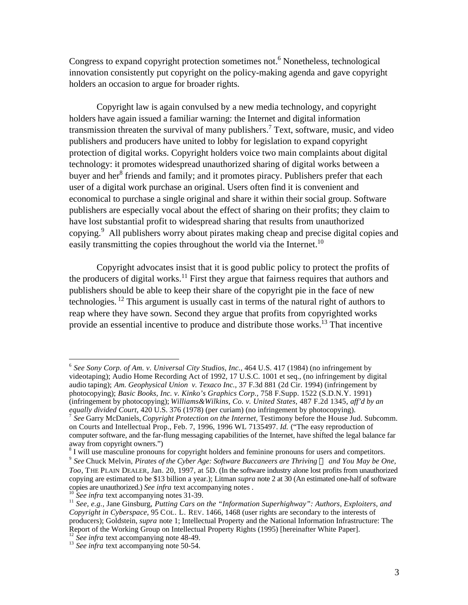Congress to expand copyright protection sometimes not.<sup>6</sup> Nonetheless, technological innovation consistently put copyright on the policy-making agenda and gave copyright holders an occasion to argue for broader rights.

Copyright law is again convulsed by a new media technology, and copyright holders have again issued a familiar warning: the Internet and digital information transmission threaten the survival of many publishers.<sup>7</sup> Text, software, music, and video publishers and producers have united to lobby for legislation to expand copyright protection of digital works. Copyright holders voice two main complaints about digital technology: it promotes widespread unauthorized sharing of digital works between a buyer and her<sup>8</sup> friends and family; and it promotes piracy. Publishers prefer that each user of a digital work purchase an original. Users often find it is convenient and economical to purchase a single original and share it within their social group. Software publishers are especially vocal about the effect of sharing on their profits; they claim to have lost substantial profit to widespread sharing that results from unauthorized copying.<sup>9</sup> All publishers worry about pirates making cheap and precise digital copies and easily transmitting the copies throughout the world via the Internet.<sup>10</sup>

Copyright advocates insist that it is good public policy to protect the profits of the producers of digital works.<sup>11</sup> First they argue that fairness requires that authors and publishers should be able to keep their share of the copyright pie in the face of new technologies.<sup>12</sup> This argument is usually cast in terms of the natural right of authors to reap where they have sown. Second they argue that profits from copyrighted works provide an essential incentive to produce and distribute those works.<sup>13</sup> That incentive

<sup>6</sup> *See Sony Corp. of Am. v. Universal City Studios, Inc.,* 464 U.S. 417 (1984) (no infringement by videotaping); Audio Home Recording Act of 1992, 17 U.S.C. 1001 et seq., (no infringement by digital audio taping); *Am. Geophysical Union v. Texaco Inc.*, 37 F.3d 881 (2d Cir. 1994) (infringement by photocopying); *Basic Books, Inc. v. Kinko's Graphics Corp.,* 758 F.Supp. 1522 (S.D.N.Y. 1991) (infringement by photocopying); *Williams&Wilkins, Co. v. United States,* 487 F.2d 1345, *aff'd by an equally divided Court,* 420 U.S. 376 (1978) (per curiam) (no infringement by photocopying).

<sup>7</sup> *See* Garry McDaniels, *Copyright Protection on the Internet,* Testimony before the House Jud. Subcomm. on Courts and Intellectual Prop., Feb. 7, 1996, 1996 WL 7135497. *Id.* ("The easy reproduction of computer software, and the far-flung messaging capabilities of the Internet, have shifted the legal balance far away from copyright owners.")

<sup>&</sup>lt;sup>8</sup> I will use masculine pronouns for copyright holders and feminine pronouns for users and competitors.

<sup>&</sup>lt;sup>9</sup> See Chuck Melvin, *Pirates of the Cyber Age: Software Buccaneers are Thriving and You May be One, Too*, THE PLAIN DEALER, Jan. 20, 1997, at 5D. (In the software industry alone lost profits from unauthorized copying are estimated to be \$13 billion a year.); Litman *supra* note 2 at 30 (An estimated one-half of software copies are unauthorized.) *See infra* text accompanying notes .

<sup>&</sup>lt;sup>10</sup> See infra text accompanying notes 31-39.

<sup>11</sup> *See, e.g.,* Jane Ginsburg, *Putting Cars on the "Information Superhighway": Authors, Exploiters, and Copyright in Cyberspace,* 95 COL. L. REV. 1466, 1468 (user rights are secondary to the interests of producers); Goldstein, *supra* note 1; Intellectual Property and the National Information Infrastructure: The Report of the Working Group on Intellectual Property Rights (1995) [hereinafter White Paper].

<sup>&</sup>lt;sup>12</sup> See infra text accompanying note 48-49.

<sup>&</sup>lt;sup>13</sup> See infra text accompanying note 50-54.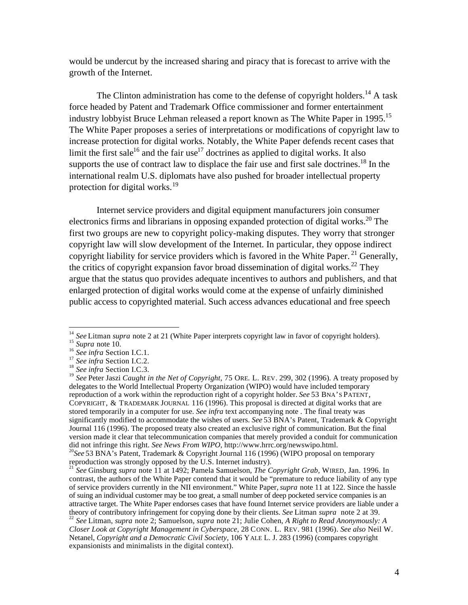would be undercut by the increased sharing and piracy that is forecast to arrive with the growth of the Internet.

The Clinton administration has come to the defense of copyright holders.<sup>14</sup> A task force headed by Patent and Trademark Office commissioner and former entertainment industry lobbyist Bruce Lehman released a report known as The White Paper in 1995.<sup>15</sup> The White Paper proposes a series of interpretations or modifications of copyright law to increase protection for digital works. Notably, the White Paper defends recent cases that limit the first sale<sup>16</sup> and the fair use<sup>17</sup> doctrines as applied to digital works. It also supports the use of contract law to displace the fair use and first sale doctrines.<sup>18</sup> In the international realm U.S. diplomats have also pushed for broader intellectual property protection for digital works.<sup>19</sup>

Internet service providers and digital equipment manufacturers join consumer electronics firms and librarians in opposing expanded protection of digital works.<sup>20</sup> The first two groups are new to copyright policy-making disputes. They worry that stronger copyright law will slow development of the Internet. In particular, they oppose indirect copyright liability for service providers which is favored in the White Paper.<sup>21</sup> Generally, the critics of copyright expansion favor broad dissemination of digital works.<sup>22</sup> They argue that the status quo provides adequate incentives to authors and publishers, and that enlarged protection of digital works would come at the expense of unfairly diminished public access to copyrighted material. Such access advances educational and free speech

<sup>&</sup>lt;sup>14</sup> See Litman *supra* note 2 at 21 (White Paper interprets copyright law in favor of copyright holders).

<sup>15</sup> *Supra* note 10.

<sup>&</sup>lt;sup>16</sup> See infra Section I.C.1.

<sup>17</sup> *See infra* Section I.C.2.

<sup>&</sup>lt;sup>18</sup> *See infra* Section I.C.3.

<sup>19</sup> *See* Peter Jaszi *Caught in the Net of Copyright*, 75 ORE. L. REV. 299, 302 (1996). A treaty proposed by delegates to the World Intellectual Property Organization (WIPO) would have included temporary reproduction of a work within the reproduction right of a copyright holder. *See* 53 BNA'S PATENT, COPYRIGHT, & TRADEMARK JOURNAL 116 (1996). This proposal is directed at digital works that are stored temporarily in a computer for use. *See infra* text accompanying note . The final treaty was significantly modified to accommodate the wishes of users. *See* 53 BNA's Patent, Trademark & Copyright Journal 116 (1996). The proposed treaty also created an exclusive right of communication. But the final version made it clear that telecommunication companies that merely provided a conduit for communication did not infringe this right. *See News From WIPO*, http://www.hrrc.org/newswipo.html.

<sup>&</sup>lt;sup>20</sup>See 53 BNA's Patent, Trademark & Copyright Journal 116 (1996) (WIPO proposal on temporary reproduction was strongly opposed by the U.S. Internet industry).

<sup>21</sup> *See* Ginsburg *supra* note 11 at 1492; Pamela Samuelson, *The Copyright Grab,* WIRED, Jan. 1996. In contrast, the authors of the White Paper contend that it would be "premature to reduce liability of any type of service providers currently in the NII environment." White Paper, *supra* note 11 at 122. Since the hassle of suing an individual customer may be too great, a small number of deep pocketed service companies is an attractive target. The White Paper endorses cases that have found Internet service providers are liable under a theory of contributory infringement for copying done by their clients. *See* Litman *supra* note 2 at 39.

<sup>22</sup> *See* Litman, *supra* note 2; Samuelson, *supra* note 21; Julie Cohen, *A Right to Read Anonymously: A Closer Look at Copyright Management in Cyberspace,* 28 CONN. L. REV. 981 (1996). *See also* Neil W. Netanel, *Copyright and a Democratic Civil Society,* 106 YALE L. J. 283 (1996) (compares copyright expansionists and minimalists in the digital context).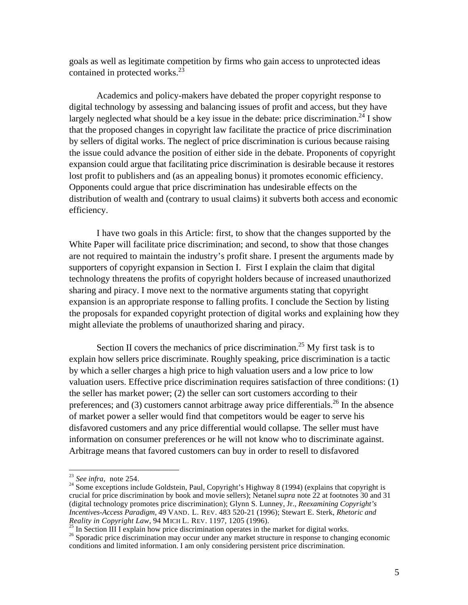goals as well as legitimate competition by firms who gain access to unprotected ideas contained in protected works.<sup>23</sup>

Academics and policy-makers have debated the proper copyright response to digital technology by assessing and balancing issues of profit and access, but they have largely neglected what should be a key issue in the debate: price discrimination.<sup>24</sup> I show that the proposed changes in copyright law facilitate the practice of price discrimination by sellers of digital works. The neglect of price discrimination is curious because raising the issue could advance the position of either side in the debate. Proponents of copyright expansion could argue that facilitating price discrimination is desirable because it restores lost profit to publishers and (as an appealing bonus) it promotes economic efficiency. Opponents could argue that price discrimination has undesirable effects on the distribution of wealth and (contrary to usual claims) it subverts both access and economic efficiency.

I have two goals in this Article: first, to show that the changes supported by the White Paper will facilitate price discrimination; and second, to show that those changes are not required to maintain the industry's profit share. I present the arguments made by supporters of copyright expansion in Section I. First I explain the claim that digital technology threatens the profits of copyright holders because of increased unauthorized sharing and piracy. I move next to the normative arguments stating that copyright expansion is an appropriate response to falling profits. I conclude the Section by listing the proposals for expanded copyright protection of digital works and explaining how they might alleviate the problems of unauthorized sharing and piracy.

Section II covers the mechanics of price discrimination.<sup>25</sup> My first task is to explain how sellers price discriminate. Roughly speaking, price discrimination is a tactic by which a seller charges a high price to high valuation users and a low price to low valuation users. Effective price discrimination requires satisfaction of three conditions: (1) the seller has market power; (2) the seller can sort customers according to their preferences; and (3) customers cannot arbitrage away price differentials.<sup>26</sup> In the absence of market power a seller would find that competitors would be eager to serve his disfavored customers and any price differential would collapse. The seller must have information on consumer preferences or he will not know who to discriminate against. Arbitrage means that favored customers can buy in order to resell to disfavored

<sup>23</sup> *See infra*, note 254.

<sup>&</sup>lt;sup>24</sup> Some exceptions include Goldstein, Paul, Copyright's Highway 8 (1994) (explains that copyright is crucial for price discrimination by book and movie sellers); Netanel *supra* note 22 at footnotes 30 and 31 (digital technology promotes price discrimination); Glynn S. Lunney, Jr., *Reexamining Copyright's Incentives-Access Paradigm,* 49 VAND. L. REV. 483 520-21 (1996); Stewart E. Sterk, *Rhetoric and Reality in Copyright Law,* 94 MICH L. REV. 1197, 1205 (1996).

In Section III I explain how price discrimination operates in the market for digital works.

<sup>&</sup>lt;sup>26</sup> Sporadic price discrimination may occur under any market structure in response to changing economic conditions and limited information. I am only considering persistent price discrimination.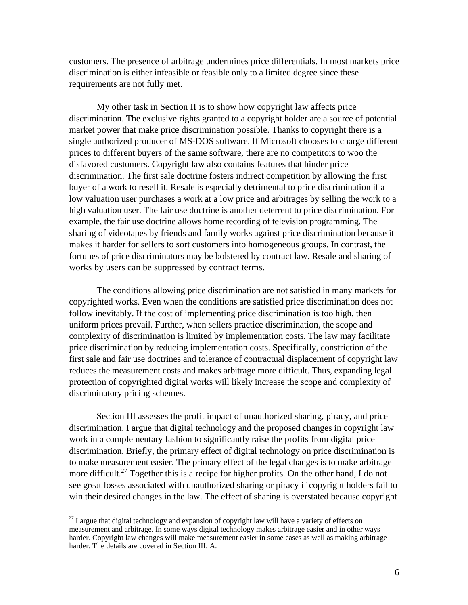customers. The presence of arbitrage undermines price differentials. In most markets price discrimination is either infeasible or feasible only to a limited degree since these requirements are not fully met.

My other task in Section II is to show how copyright law affects price discrimination. The exclusive rights granted to a copyright holder are a source of potential market power that make price discrimination possible. Thanks to copyright there is a single authorized producer of MS-DOS software. If Microsoft chooses to charge different prices to different buyers of the same software, there are no competitors to woo the disfavored customers. Copyright law also contains features that hinder price discrimination. The first sale doctrine fosters indirect competition by allowing the first buyer of a work to resell it. Resale is especially detrimental to price discrimination if a low valuation user purchases a work at a low price and arbitrages by selling the work to a high valuation user. The fair use doctrine is another deterrent to price discrimination. For example, the fair use doctrine allows home recording of television programming. The sharing of videotapes by friends and family works against price discrimination because it makes it harder for sellers to sort customers into homogeneous groups. In contrast, the fortunes of price discriminators may be bolstered by contract law. Resale and sharing of works by users can be suppressed by contract terms.

The conditions allowing price discrimination are not satisfied in many markets for copyrighted works. Even when the conditions are satisfied price discrimination does not follow inevitably. If the cost of implementing price discrimination is too high, then uniform prices prevail. Further, when sellers practice discrimination, the scope and complexity of discrimination is limited by implementation costs. The law may facilitate price discrimination by reducing implementation costs. Specifically, constriction of the first sale and fair use doctrines and tolerance of contractual displacement of copyright law reduces the measurement costs and makes arbitrage more difficult. Thus, expanding legal protection of copyrighted digital works will likely increase the scope and complexity of discriminatory pricing schemes.

Section III assesses the profit impact of unauthorized sharing, piracy, and price discrimination. I argue that digital technology and the proposed changes in copyright law work in a complementary fashion to significantly raise the profits from digital price discrimination. Briefly, the primary effect of digital technology on price discrimination is to make measurement easier. The primary effect of the legal changes is to make arbitrage more difficult.<sup>27</sup> Together this is a recipe for higher profits. On the other hand, I do not see great losses associated with unauthorized sharing or piracy if copyright holders fail to win their desired changes in the law. The effect of sharing is overstated because copyright

 $2^{27}$  I argue that digital technology and expansion of copyright law will have a variety of effects on measurement and arbitrage. In some ways digital technology makes arbitrage easier and in other ways harder. Copyright law changes will make measurement easier in some cases as well as making arbitrage harder. The details are covered in Section III. A.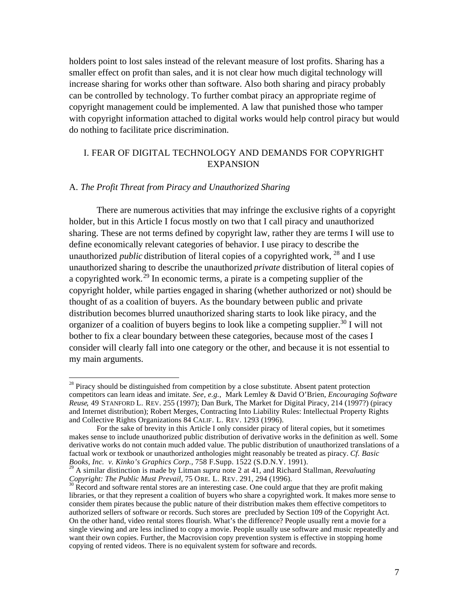holders point to lost sales instead of the relevant measure of lost profits. Sharing has a smaller effect on profit than sales, and it is not clear how much digital technology will increase sharing for works other than software. Also both sharing and piracy probably can be controlled by technology. To further combat piracy an appropriate regime of copyright management could be implemented. A law that punished those who tamper with copyright information attached to digital works would help control piracy but would do nothing to facilitate price discrimination.

# I. FEAR OF DIGITAL TECHNOLOGY AND DEMANDS FOR COPYRIGHT EXPANSION

#### A. *The Profit Threat from Piracy and Unauthorized Sharing*

 $\overline{a}$ 

There are numerous activities that may infringe the exclusive rights of a copyright holder, but in this Article I focus mostly on two that I call piracy and unauthorized sharing. These are not terms defined by copyright law, rather they are terms I will use to define economically relevant categories of behavior. I use piracy to describe the unauthorized *public* distribution of literal copies of a copyrighted work, <sup>28</sup> and I use unauthorized sharing to describe the unauthorized *private* distribution of literal copies of a copyrighted work.<sup>29</sup> In economic terms, a pirate is a competing supplier of the copyright holder, while parties engaged in sharing (whether authorized or not) should be thought of as a coalition of buyers. As the boundary between public and private distribution becomes blurred unauthorized sharing starts to look like piracy, and the organizer of a coalition of buyers begins to look like a competing supplier.<sup>30</sup> I will not bother to fix a clear boundary between these categories, because most of the cases I consider will clearly fall into one category or the other, and because it is not essential to my main arguments.

<sup>&</sup>lt;sup>28</sup> Piracy should be distinguished from competition by a close substitute. Absent patent protection competitors can learn ideas and imitate. *See, e.g.,* Mark Lemley & David O'Brien, *Encouraging Software Reuse*, 49 STANFORD L. REV. 255 (1997); Dan Burk, The Market for Digital Piracy, 214 (1997?) (piracy and Internet distribution); Robert Merges, Contracting Into Liability Rules: Intellectual Property Rights and Collective Rights Organizations 84 CALIF. L. REV. 1293 (1996).

For the sake of brevity in this Article I only consider piracy of literal copies, but it sometimes makes sense to include unauthorized public distribution of derivative works in the definition as well. Some derivative works do not contain much added value. The public distribution of unauthorized translations of a factual work or textbook or unauthorized anthologies might reasonably be treated as piracy. *Cf. Basic Books, Inc. v. Kinko's Graphics Corp.,* 758 F.Supp. 1522 (S.D.N.Y. 1991).

<sup>29</sup> A similar distinction is made by Litman *supra* note 2 at 41, and Richard Stallman, *Reevaluating Copyright: The Public Must Prevail,* 75 ORE. L. REV. 291, 294 (1996).

 $30$  Record and software rental stores are an interesting case. One could argue that they are profit making libraries, or that they represent a coalition of buyers who share a copyrighted work. It makes more sense to consider them pirates because the public nature of their distribution makes them effective competitors to authorized sellers of software or records. Such stores are precluded by Section 109 of the Copyright Act. On the other hand, video rental stores flourish. What's the difference? People usually rent a movie for a single viewing and are less inclined to copy a movie. People usually use software and music repeatedly and want their own copies. Further, the Macrovision copy prevention system is effective in stopping home copying of rented videos. There is no equivalent system for software and records.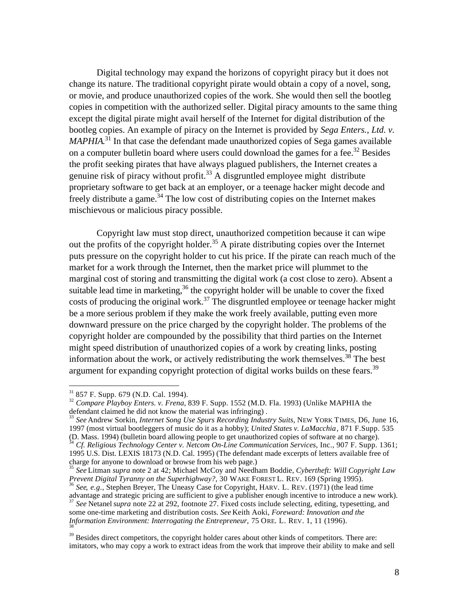Digital technology may expand the horizons of copyright piracy but it does not change its nature. The traditional copyright pirate would obtain a copy of a novel, song, or movie, and produce unauthorized copies of the work. She would then sell the bootleg copies in competition with the authorized seller. Digital piracy amounts to the same thing except the digital pirate might avail herself of the Internet for digital distribution of the bootleg copies. An example of piracy on the Internet is provided by *Sega Enters., Ltd. v.* MAPHIA.<sup>31</sup> In that case the defendant made unauthorized copies of Sega games available on a computer bulletin board where users could download the games for a fee.<sup>32</sup> Besides the profit seeking pirates that have always plagued publishers, the Internet creates a genuine risk of piracy without profit.<sup>33</sup> A disgruntled employee might distribute proprietary software to get back at an employer, or a teenage hacker might decode and freely distribute a game.<sup>34</sup> The low cost of distributing copies on the Internet makes mischievous or malicious piracy possible.

Copyright law must stop direct, unauthorized competition because it can wipe out the profits of the copyright holder.<sup>35</sup> A pirate distributing copies over the Internet puts pressure on the copyright holder to cut his price. If the pirate can reach much of the market for a work through the Internet, then the market price will plummet to the marginal cost of storing and transmitting the digital work (a cost close to zero). Absent a suitable lead time in marketing,  $36$  the copyright holder will be unable to cover the fixed costs of producing the original work.<sup>37</sup> The disgruntled employee or teenage hacker might be a more serious problem if they make the work freely available, putting even more downward pressure on the price charged by the copyright holder. The problems of the copyright holder are compounded by the possibility that third parties on the Internet might speed distribution of unauthorized copies of a work by creating links, posting information about the work, or actively redistributing the work themselves.<sup>38</sup> The best argument for expanding copyright protection of digital works builds on these fears.<sup>39</sup>

 $31$  857 F. Supp. 679 (N.D. Cal. 1994).

<sup>32</sup> *Compare Playboy Enters. v. Frena,* 839 F. Supp. 1552 (M.D. Fla. 1993) (Unlike MAPHIA the defendant claimed he did not know the material was infringing) .

<sup>33</sup> *See* Andrew Sorkin, *Internet Song Use Spurs Recording Industry Suits,* NEW YORK TIMES, D6, June 16, 1997 (most virtual bootleggers of music do it as a hobby); *United States v. LaMacchia*, 871 F.Supp. 535 (D. Mass. 1994) (bulletin board allowing people to get unauthorized copies of software at no charge).

<sup>34</sup> *Cf. Religious Technology Center v. Netcom On-Line Communication Services*, Inc., 907 F. Supp. 1361; 1995 U.S. Dist. LEXIS 18173 (N.D. Cal. 1995) (The defendant made excerpts of letters available free of charge for anyone to download or browse from his web page.)

<sup>35</sup> *See* Litman *supra* note 2 at 42; Michael McCoy and Needham Boddie, *Cybertheft: Will Copyright Law Prevent Digital Tyranny on the Superhighway?,* 30 WAKE FOREST L. REV. 169 (Spring 1995).

<sup>36</sup> *See*, *e.g.,* Stephen Breyer, The Uneasy Case for Copyright, HARV. L. REV. (1971) (the lead time advantage and strategic pricing are sufficient to give a publisher enough incentive to introduce a new work).

<sup>37</sup> *See* Netanel *supra* note 22 at 292, footnote 27. Fixed costs include selecting, editing, typesetting, and some one-time marketing and distribution costs. *See* Keith Aoki, *Foreward: Innovation and the Information Environment: Interrogating the Entrepreneur,* 75 ORE. L. REV. 1, 11 (1996). 38

<sup>&</sup>lt;sup>39</sup> Besides direct competitors, the copyright holder cares about other kinds of competitors. There are: imitators, who may copy a work to extract ideas from the work that improve their ability to make and sell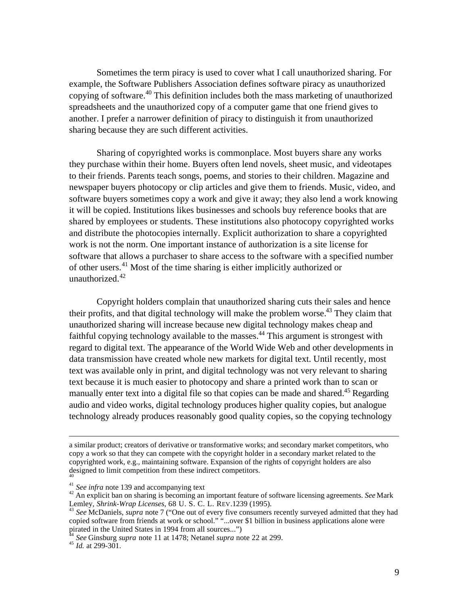Sometimes the term piracy is used to cover what I call unauthorized sharing. For example, the Software Publishers Association defines software piracy as unauthorized copying of software.<sup>40</sup> This definition includes both the mass marketing of unauthorized spreadsheets and the unauthorized copy of a computer game that one friend gives to another. I prefer a narrower definition of piracy to distinguish it from unauthorized sharing because they are such different activities.

Sharing of copyrighted works is commonplace. Most buyers share any works they purchase within their home. Buyers often lend novels, sheet music, and videotapes to their friends. Parents teach songs, poems, and stories to their children. Magazine and newspaper buyers photocopy or clip articles and give them to friends. Music, video, and software buyers sometimes copy a work and give it away; they also lend a work knowing it will be copied. Institutions likes businesses and schools buy reference books that are shared by employees or students. These institutions also photocopy copyrighted works and distribute the photocopies internally. Explicit authorization to share a copyrighted work is not the norm. One important instance of authorization is a site license for software that allows a purchaser to share access to the software with a specified number of other users.<sup>41</sup> Most of the time sharing is either implicitly authorized or unauthorized.<sup>42</sup>

Copyright holders complain that unauthorized sharing cuts their sales and hence their profits, and that digital technology will make the problem worse.<sup>43</sup> They claim that unauthorized sharing will increase because new digital technology makes cheap and faithful copying technology available to the masses.<sup>44</sup> This argument is strongest with regard to digital text. The appearance of the World Wide Web and other developments in data transmission have created whole new markets for digital text. Until recently, most text was available only in print, and digital technology was not very relevant to sharing text because it is much easier to photocopy and share a printed work than to scan or manually enter text into a digital file so that copies can be made and shared.<sup>45</sup> Regarding audio and video works, digital technology produces higher quality copies, but analogue technology already produces reasonably good quality copies, so the copying technology

a similar product; creators of derivative or transformative works; and secondary market competitors, who copy a work so that they can compete with the copyright holder in a secondary market related to the copyrighted work, e.g., maintaining software. Expansion of the rights of copyright holders are also designed to limit competition from these indirect competitors. 40

<sup>&</sup>lt;sup>41</sup> See infra note 139 and accompanying text

<sup>&</sup>lt;sup>42</sup> An explicit ban on sharing is becoming an important feature of software licensing agreements. See Mark Lemley, *Shrink-Wrap Licenses,* 68 U. S. C. L. REV.1239 (1995).

<sup>43</sup> *See* McDaniels, *supra* note 7 ("One out of every five consumers recently surveyed admitted that they had copied software from friends at work or school." "...over \$1 billion in business applications alone were pirated in the United States in 1994 from all sources...")

<sup>&</sup>lt;sup>44</sup> See Ginsburg *supra* note 11 at 1478; Netanel *supra* note 22 at 299.

<sup>45</sup> *Id.* at 299-301.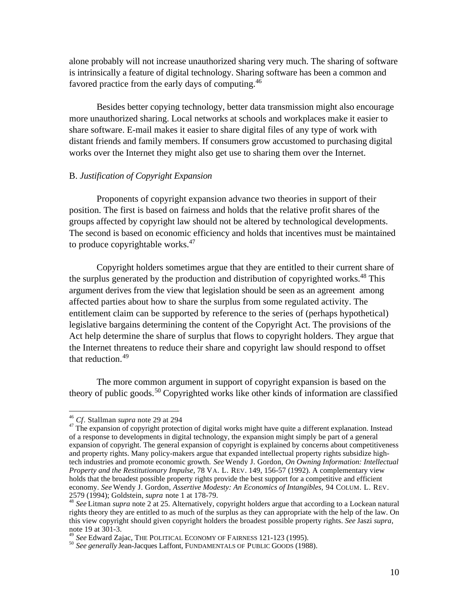alone probably will not increase unauthorized sharing very much. The sharing of software is intrinsically a feature of digital technology. Sharing software has been a common and favored practice from the early days of computing.<sup>46</sup>

Besides better copying technology, better data transmission might also encourage more unauthorized sharing. Local networks at schools and workplaces make it easier to share software. E-mail makes it easier to share digital files of any type of work with distant friends and family members. If consumers grow accustomed to purchasing digital works over the Internet they might also get use to sharing them over the Internet.

### B. *Justification of Copyright Expansion*

Proponents of copyright expansion advance two theories in support of their position. The first is based on fairness and holds that the relative profit shares of the groups affected by copyright law should not be altered by technological developments. The second is based on economic efficiency and holds that incentives must be maintained to produce copyrightable works.<sup>47</sup>

Copyright holders sometimes argue that they are entitled to their current share of the surplus generated by the production and distribution of copyrighted works.<sup>48</sup> This argument derives from the view that legislation should be seen as an agreement among affected parties about how to share the surplus from some regulated activity. The entitlement claim can be supported by reference to the series of (perhaps hypothetical) legislative bargains determining the content of the Copyright Act. The provisions of the Act help determine the share of surplus that flows to copyright holders. They argue that the Internet threatens to reduce their share and copyright law should respond to offset that reduction.<sup>49</sup>

The more common argument in support of copyright expansion is based on the theory of public goods.<sup>50</sup> Copyrighted works like other kinds of information are classified

<sup>46</sup> *Cf*. Stallman *supra* note 29 at 294

 $47$  The expansion of copyright protection of digital works might have quite a different explanation. Instead of a response to developments in digital technology, the expansion might simply be part of a general expansion of copyright. The general expansion of copyright is explained by concerns about competitiveness and property rights. Many policy-makers argue that expanded intellectual property rights subsidize hightech industries and promote economic growth. *See* Wendy J. Gordon, *On Owning Information: Intellectual Property and the Restitutionary Impulse,* 78 VA. L. REV. 149, 156-57 (1992). A complementary view holds that the broadest possible property rights provide the best support for a competitive and efficient economy. *See* Wendy J. Gordon, *Assertive Modesty: An Economics of Intangibles,* 94 COLUM. L. REV. 2579 (1994); Goldstein, *supra* note 1 at 178-79.

<sup>48</sup> *See* Litman *supra* note 2 at 25. Alternatively, copyright holders argue that according to a Lockean natural rights theory they are entitled to as much of the surplus as they can appropriate with the help of the law. On this view copyright should given copyright holders the broadest possible property rights. *See* Jaszi *supra*, note 19 at 301-3.

<sup>49</sup> *See* Edward Zajac, THE POLITICAL ECONOMY OF FAIRNESS 121-123 (1995).

<sup>50</sup> *See generally* Jean-Jacques Laffont, FUNDAMENTALS OF PUBLIC GOODS (1988).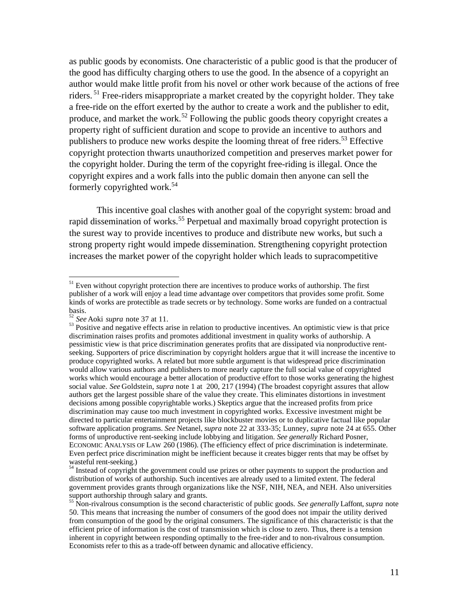as public goods by economists. One characteristic of a public good is that the producer of the good has difficulty charging others to use the good. In the absence of a copyright an author would make little profit from his novel or other work because of the actions of free riders.<sup>51</sup> Free-riders misappropriate a market created by the copyright holder. They take a free-ride on the effort exerted by the author to create a work and the publisher to edit, produce, and market the work.<sup>52</sup> Following the public goods theory copyright creates a property right of sufficient duration and scope to provide an incentive to authors and publishers to produce new works despite the looming threat of free riders.<sup>53</sup> Effective copyright protection thwarts unauthorized competition and preserves market power for the copyright holder. During the term of the copyright free-riding is illegal. Once the copyright expires and a work falls into the public domain then anyone can sell the formerly copyrighted work.<sup>54</sup>

This incentive goal clashes with another goal of the copyright system: broad and rapid dissemination of works.<sup>55</sup> Perpetual and maximally broad copyright protection is the surest way to provide incentives to produce and distribute new works, but such a strong property right would impede dissemination. Strengthening copyright protection increases the market power of the copyright holder which leads to supracompetitive

<sup>&</sup>lt;sup>51</sup> Even without copyright protection there are incentives to produce works of authorship. The first publisher of a work will enjoy a lead time advantage over competitors that provides some profit. Some kinds of works are protectible as trade secrets or by technology. Some works are funded on a contractual basis.

<sup>52</sup> *See* Aoki *supra* note 37 at 11.

<sup>&</sup>lt;sup>53</sup> Positive and negative effects arise in relation to productive incentives. An optimistic view is that price discrimination raises profits and promotes additional investment in quality works of authorship. A pessimistic view is that price discrimination generates profits that are dissipated via nonproductive rentseeking. Supporters of price discrimination by copyright holders argue that it will increase the incentive to produce copyrighted works. A related but more subtle argument is that widespread price discrimination would allow various authors and publishers to more nearly capture the full social value of copyrighted works which would encourage a better allocation of productive effort to those works generating the highest social value. *See* Goldstein, *supra* note 1 at 200, 217 (1994) (The broadest copyright assures that allow authors get the largest possible share of the value they create. This eliminates distortions in investment decisions among possible copyrightable works.) Skeptics argue that the increased profits from price discrimination may cause too much investment in copyrighted works. Excessive investment might be directed to particular entertainment projects like blockbuster movies or to duplicative factual like popular software application programs. *See* Netanel, *supra* note 22 at 333-35; Lunney, *supra* note 24 at 655. Other forms of unproductive rent-seeking include lobbying and litigation. *See generally* Richard Posner, ECONOMIC ANALYSIS OF LAW 260 (1986). (The efficiency effect of price discrimination is indeterminate. Even perfect price discrimination might be inefficient because it creates bigger rents that may be offset by wasteful rent-seeking.)

<sup>&</sup>lt;sup>54</sup> Instead of copyright the government could use prizes or other payments to support the production and distribution of works of authorship. Such incentives are already used to a limited extent. The federal government provides grants through organizations like the NSF, NIH, NEA, and NEH. Also universities support authorship through salary and grants.

<sup>55</sup> Non-rivalrous consumption is the second characteristic of public goods. *See generally* Laffont, *supra* note 50. This means that increasing the number of consumers of the good does not impair the utility derived from consumption of the good by the original consumers. The significance of this characteristic is that the efficient price of information is the cost of transmission which is close to zero. Thus, there is a tension inherent in copyright between responding optimally to the free-rider and to non-rivalrous consumption. Economists refer to this as a trade-off between dynamic and allocative efficiency.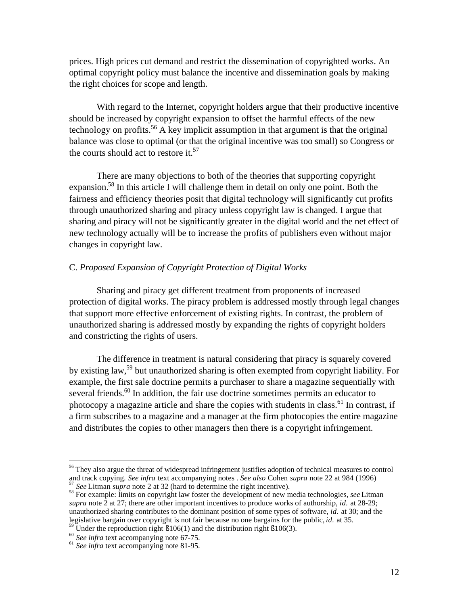prices. High prices cut demand and restrict the dissemination of copyrighted works. An optimal copyright policy must balance the incentive and dissemination goals by making the right choices for scope and length.

With regard to the Internet, copyright holders argue that their productive incentive should be increased by copyright expansion to offset the harmful effects of the new technology on profits.<sup>56</sup> A key implicit assumption in that argument is that the original balance was close to optimal (or that the original incentive was too small) so Congress or the courts should act to restore it.<sup>57</sup>

There are many objections to both of the theories that supporting copyright expansion.<sup>58</sup> In this article I will challenge them in detail on only one point. Both the fairness and efficiency theories posit that digital technology will significantly cut profits through unauthorized sharing and piracy unless copyright law is changed. I argue that sharing and piracy will not be significantly greater in the digital world and the net effect of new technology actually will be to increase the profits of publishers even without major changes in copyright law.

# C. *Proposed Expansion of Copyright Protection of Digital Works*

Sharing and piracy get different treatment from proponents of increased protection of digital works. The piracy problem is addressed mostly through legal changes that support more effective enforcement of existing rights. In contrast, the problem of unauthorized sharing is addressed mostly by expanding the rights of copyright holders and constricting the rights of users.

The difference in treatment is natural considering that piracy is squarely covered by existing law,<sup>59</sup> but unauthorized sharing is often exempted from copyright liability. For example, the first sale doctrine permits a purchaser to share a magazine sequentially with several friends.<sup>60</sup> In addition, the fair use doctrine sometimes permits an educator to photocopy a magazine article and share the copies with students in class.<sup>61</sup> In contrast, if a firm subscribes to a magazine and a manager at the firm photocopies the entire magazine and distributes the copies to other managers then there is a copyright infringement.

<sup>&</sup>lt;sup>56</sup> They also argue the threat of widespread infringement justifies adoption of technical measures to control and track copying. *See infra* text accompanying notes . *See also* Cohen *supra* note 22 at 984 (1996) <sup>57</sup> *See* Litman *supra* note 2 at 32 (hard to determine the right incentive).

<sup>58</sup> For example: limits on copyright law foster the development of new media technologies, *see* Litman *supra* note 2 at 27; there are other important incentives to produce works of authorship, *id.* at 28-29; unauthorized sharing contributes to the dominant position of some types of software, *id.* at 30; and the legislative bargain over copyright is not fair because no one bargains for the public, *id.* at 35.

Under the reproduction right  $\beta$ 106(1) and the distribution right  $\beta$ 106(3).

<sup>60</sup> *See infra* text accompanying note 67-75.

<sup>&</sup>lt;sup>61</sup> *See infra* text accompanying note 81-95.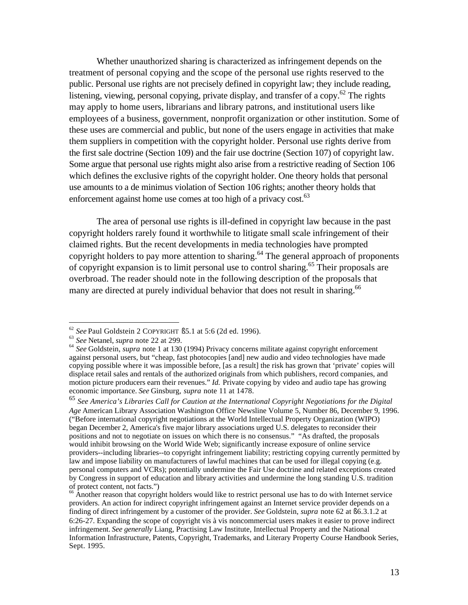Whether unauthorized sharing is characterized as infringement depends on the treatment of personal copying and the scope of the personal use rights reserved to the public. Personal use rights are not precisely defined in copyright law; they include reading, listening, viewing, personal copying, private display, and transfer of a copy.<sup>62</sup> The rights may apply to home users, librarians and library patrons, and institutional users like employees of a business, government, nonprofit organization or other institution. Some of these uses are commercial and public, but none of the users engage in activities that make them suppliers in competition with the copyright holder. Personal use rights derive from the first sale doctrine (Section 109) and the fair use doctrine (Section 107) of copyright law. Some argue that personal use rights might also arise from a restrictive reading of Section 106 which defines the exclusive rights of the copyright holder. One theory holds that personal use amounts to a de minimus violation of Section 106 rights; another theory holds that enforcement against home use comes at too high of a privacy cost.<sup>63</sup>

The area of personal use rights is ill-defined in copyright law because in the past copyright holders rarely found it worthwhile to litigate small scale infringement of their claimed rights. But the recent developments in media technologies have prompted copyright holders to pay more attention to sharing.<sup>64</sup> The general approach of proponents of copyright expansion is to limit personal use to control sharing.<sup>65</sup> Their proposals are overbroad. The reader should note in the following description of the proposals that many are directed at purely individual behavior that does not result in sharing.<sup>66</sup>

<sup>62</sup> *See* Paul Goldstein 2 COPYRIGHT ß5.1 at 5:6 (2d ed. 1996).

<sup>63</sup> *See* Netanel, *supra* note 22 at 299.

<sup>64</sup> *See* Goldstein, *supra* note 1 at 130 (1994) Privacy concerns militate against copyright enforcement against personal users, but "cheap, fast photocopies [and] new audio and video technologies have made copying possible where it was impossible before, [as a result] the risk has grown that 'private' copies will displace retail sales and rentals of the authorized originals from which publishers, record companies, and motion picture producers earn their revenues." *Id.* Private copying by video and audio tape has growing economic importance. *See* Ginsburg, *supra* note 11 at 1478.

<sup>65</sup> *See America's Libraries Call for Caution at the International Copyright Negotiations for the Digital Age* American Library Association Washington Office Newsline Volume 5, Number 86, December 9, 1996. ("Before international copyright negotiations at the World Intellectual Property Organization (WIPO) began December 2, America's five major library associations urged U.S. delegates to reconsider their positions and not to negotiate on issues on which there is no consensus." "As drafted, the proposals would inhibit browsing on the World Wide Web; significantly increase exposure of online service providers--including libraries--to copyright infringement liability; restricting copying currently permitted by law and impose liability on manufacturers of lawful machines that can be used for illegal copying (e.g. personal computers and VCRs); potentially undermine the Fair Use doctrine and related exceptions created by Congress in support of education and library activities and undermine the long standing U.S. tradition of protect content, not facts.")

<sup>&</sup>lt;sup>66</sup> Another reason that copyright holders would like to restrict personal use has to do with Internet service providers. An action for indirect copyright infringement against an Internet service provider depends on a finding of direct infringement by a customer of the provider. *See* Goldstein, *supra* note 62 at ß6.3.1.2 at 6:26-27. Expanding the scope of copyright vis à vis noncommercial users makes it easier to prove indirect infringement. *See generally* Liang, Practising Law Institute, Intellectual Property and the National Information Infrastructure, Patents, Copyright, Trademarks, and Literary Property Course Handbook Series, Sept. 1995.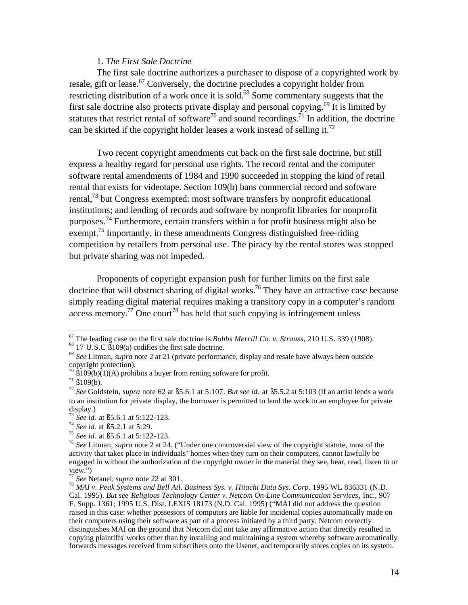## 1. *The First Sale Doctrine*

The first sale doctrine authorizes a purchaser to dispose of a copyrighted work by resale, gift or lease.<sup>67</sup> Conversely, the doctrine precludes a copyright holder from restricting distribution of a work once it is sold.<sup>68</sup> Some commentary suggests that the first sale doctrine also protects private display and personal copying.<sup>69</sup> It is limited by statutes that restrict rental of software<sup>70</sup> and sound recordings.<sup>71</sup> In addition, the doctrine can be skirted if the copyright holder leases a work instead of selling it.<sup>72</sup>

Two recent copyright amendments cut back on the first sale doctrine, but still express a healthy regard for personal use rights. The record rental and the computer software rental amendments of 1984 and 1990 succeeded in stopping the kind of retail rental that exists for videotape. Section 109(b) bans commercial record and software rental,<sup>73</sup> but Congress exempted: most software transfers by nonprofit educational institutions; and lending of records and software by nonprofit libraries for nonprofit purposes.<sup>74</sup> Furthermore, certain transfers within a for profit business might also be exempt.<sup>75</sup> Importantly, in these amendments Congress distinguished free-riding competition by retailers from personal use. The piracy by the rental stores was stopped but private sharing was not impeded.

Proponents of copyright expansion push for further limits on the first sale doctrine that will obstruct sharing of digital works.<sup>76</sup> They have an attractive case because simply reading digital material requires making a transitory copy in a computer's random access memory.<sup>77</sup> One court<sup>78</sup> has held that such copying is infringement unless

<sup>67</sup> The leading case on the first sale doctrine is *Bobbs Merrill Co. v. Strauss,* 210 U.S. 339 (1908).

 $68$  17 U.S.C  $\beta$ 109(a) codifies the first sale doctrine.

<sup>69</sup> *See* Litman, *supra* note 2 at 21 (private performance, display and resale have always been outside copyright protection).

 $70$   $\overline{B109(b)(1)}(A)$  prohibits a buyer from renting software for profit.

 $71$  B109(b).

<sup>72</sup> *See* Goldstein, *supra* note 62 at ß5.6.1 at 5:107. *But see id*. at ß5.5.2 at 5:103 (If an artist lends a work to an institution for private display, the borrower is permitted to lend the work to an employee for private display.)

<sup>73</sup> *See id.* at ß5.6.1 at 5:122-123.

<sup>74</sup> *See id.* at ß5.2.1 at 5:29.

<sup>75</sup> *See id.* at ß5.6.1 at 5:122-123.

<sup>76</sup> *See* Litman, *supra* note 2 at 24. ("Under one controversial view of the copyright statute, most of the activity that takes place in individuals' homes when they turn on their computers, cannot lawfully be engaged in without the authorization of the copyright owner in the material they see, hear, read, listen to or view.")

<sup>77</sup> *See* Netanel, *supra* note 22 at 301.

<sup>78</sup> *MAI v. Peak Systems and Bell Atl. Business Sys. v. Hitachi Data Sys. Corp.* 1995 WL 836331 (N.D. Cal. 1995). *But see Religious Technology Center v. Netcom On-Line Communication Services*, Inc., 907 F. Supp. 1361; 1995 U.S. Dist. LEXIS 18173 (N.D. Cal. 1995) ("MAI did not address the question raised in this case: whether possessors of computers are liable for incidental copies automatically made on their computers using their software as part of a process initiated by a third party. Netcom correctly distinguishes MAI on the ground that Netcom did not take any affirmative action that directly resulted in copying plaintiffs' works other than by installing and maintaining a system whereby software automatically forwards messages received from subscribers onto the Usenet, and temporarily stores copies on its system.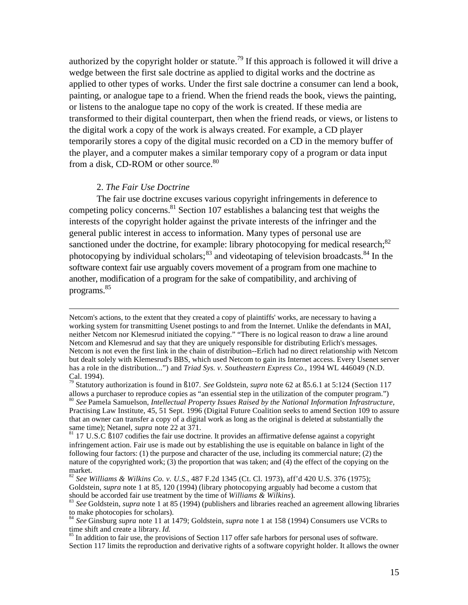authorized by the copyright holder or statute.<sup>79</sup> If this approach is followed it will drive a wedge between the first sale doctrine as applied to digital works and the doctrine as applied to other types of works. Under the first sale doctrine a consumer can lend a book, painting, or analogue tape to a friend. When the friend reads the book, views the painting, or listens to the analogue tape no copy of the work is created. If these media are transformed to their digital counterpart, then when the friend reads, or views, or listens to the digital work a copy of the work is always created. For example, a CD player temporarily stores a copy of the digital music recorded on a CD in the memory buffer of the player, and a computer makes a similar temporary copy of a program or data input from a disk, CD-ROM or other source.<sup>80</sup>

# 2. *The Fair Use Doctrine*

 $\overline{a}$ 

The fair use doctrine excuses various copyright infringements in deference to competing policy concerns.<sup>81</sup> Section 107 establishes a balancing test that weighs the interests of the copyright holder against the private interests of the infringer and the general public interest in access to information. Many types of personal use are sanctioned under the doctrine, for example: library photocopying for medical research; $82$ photocopying by individual scholars; $83$  and videotaping of television broadcasts. $84$  In the software context fair use arguably covers movement of a program from one machine to another, modification of a program for the sake of compatibility, and archiving of programs.<sup>85</sup>

Netcom's actions, to the extent that they created a copy of plaintiffs' works, are necessary to having a working system for transmitting Usenet postings to and from the Internet. Unlike the defendants in MAI, neither Netcom nor Klemesrud initiated the copying." "There is no logical reason to draw a line around Netcom and Klemesrud and say that they are uniquely responsible for distributing Erlich's messages. Netcom is not even the first link in the chain of distribution--Erlich had no direct relationship with Netcom but dealt solely with Klemesrud's BBS, which used Netcom to gain its Internet access. Every Usenet server has a role in the distribution...") and *Triad Sys. v. Southeastern Express Co*., 1994 WL 446049 (N.D. Cal. 1994).

<sup>79</sup> Statutory authorization is found in ß107. *See* Goldstein, *supra* note 62 at ß5.6.1 at 5:124 (Section 117 allows a purchaser to reproduce copies as "an essential step in the utilization of the computer program.") <sup>80</sup> *See* Pamela Samuelson, *Intellectual Property Issues Raised by the National Information Infrastructure,* Practising Law Institute, 45, 51 Sept. 1996 (Digital Future Coalition seeks to amend Section 109 to assure that an owner can transfer a copy of a digital work as long as the original is deleted at substantially the same time); Netanel, *supra* note 22 at 371.

<sup>&</sup>lt;sup>81</sup> 17 U.S.C **B107** codifies the fair use doctrine. It provides an affirmative defense against a copyright infringement action. Fair use is made out by establishing the use is equitable on balance in light of the following four factors: (1) the purpose and character of the use, including its commercial nature; (2) the nature of the copyrighted work; (3) the proportion that was taken; and (4) the effect of the copying on the market.

<sup>82</sup> *See Williams & Wilkins Co. v. U.S*., 487 F.2d 1345 (Ct. Cl. 1973), aff'd 420 U.S. 376 (1975); Goldstein, *supra* note 1 at 85, 120 (1994) (library photocopying arguably had become a custom that should be accorded fair use treatment by the time of *Williams & Wilkins*).

<sup>83</sup> *See* Goldstein, *supra* note 1 at 85 (1994) (publishers and libraries reached an agreement allowing libraries to make photocopies for scholars).

<sup>84</sup> *See* Ginsburg *supra* note 11 at 1479; Goldstein, *supra* note 1 at 158 (1994) Consumers use VCRs to time shift and create a library. *Id.*

<sup>&</sup>lt;sup>85</sup> In addition to fair use, the provisions of Section 117 offer safe harbors for personal uses of software. Section 117 limits the reproduction and derivative rights of a software copyright holder. It allows the owner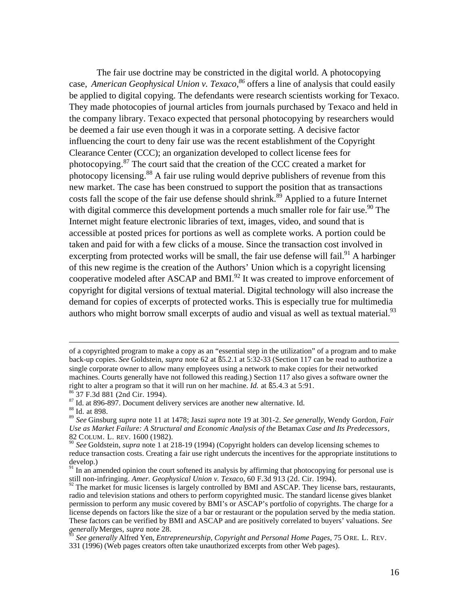The fair use doctrine may be constricted in the digital world. A photocopying case, *American Geophysical Union v. Texaco,<sup>86</sup>* offers a line of analysis that could easily be applied to digital copying. The defendants were research scientists working for Texaco. They made photocopies of journal articles from journals purchased by Texaco and held in the company library. Texaco expected that personal photocopying by researchers would be deemed a fair use even though it was in a corporate setting. A decisive factor influencing the court to deny fair use was the recent establishment of the Copyright Clearance Center (CCC); an organization developed to collect license fees for photocopying.<sup>87</sup> The court said that the creation of the CCC created a market for photocopy licensing.<sup>88</sup> A fair use ruling would deprive publishers of revenue from this new market. The case has been construed to support the position that as transactions costs fall the scope of the fair use defense should shrink.<sup>89</sup> Applied to a future Internet with digital commerce this development portends a much smaller role for fair use.<sup>90</sup> The Internet might feature electronic libraries of text, images, video, and sound that is accessible at posted prices for portions as well as complete works. A portion could be taken and paid for with a few clicks of a mouse. Since the transaction cost involved in excerpting from protected works will be small, the fair use defense will fail.<sup>91</sup> A harbinger of this new regime is the creation of the Authors' Union which is a copyright licensing cooperative modeled after ASCAP and BMI.<sup>92</sup> It was created to improve enforcement of copyright for digital versions of textual material. Digital technology will also increase the demand for copies of excerpts of protected works. This is especially true for multimedia authors who might borrow small excerpts of audio and visual as well as textual material.<sup>93</sup>

of a copyrighted program to make a copy as an "essential step in the utilization" of a program and to make back-up copies. *See* Goldstein, *supra* note 62 at ß5.2.1 at 5:32-33 (Section 117 can be read to authorize a single corporate owner to allow many employees using a network to make copies for their networked machines. Courts generally have not followed this reading.) Section 117 also gives a software owner the right to alter a program so that it will run on her machine. *Id.* at ß5.4.3 at 5:91.

<sup>86</sup> 37 F.3d 881 (2nd Cir. 1994).

 $87$  Id. at 896-897. Document delivery services are another new alternative. Id.

 $88 \text{ Id.}$  at 898.

<sup>89</sup> *See* Ginsburg *supra* note 11 at 1478; Jaszi *supra* note 19 at 301-2. *See generally*, Wendy Gordon, *Fair Use as Market Failure: A Structural and Economic Analysis of the* Betamax *Case and Its Predecessors*, 82 COLUM. L. REV. 1600 (1982).

<sup>90</sup> *See* Goldstein, *supra* note 1 at 218-19 (1994) (Copyright holders can develop licensing schemes to reduce transaction costs. Creating a fair use right undercuts the incentives for the appropriate institutions to develop.)

 $91$  In an amended opinion the court softened its analysis by affirming that photocopying for personal use is still non-infringing. *Amer. Geophysical Union v. Texaco,* 60 F.3d 913 (2d. Cir. 1994).

 $92$  The market for music licenses is largely controlled by BMI and ASCAP. They license bars, restaurants, radio and television stations and others to perform copyrighted music. The standard license gives blanket permission to perform any music covered by BMI's or ASCAP's portfolio of copyrights. The charge for a license depends on factors like the size of a bar or restaurant or the population served by the media station. These factors can be verified by BMI and ASCAP and are positively correlated to buyers' valuations. *See generally* Merges, *supra* note 28.

<sup>93</sup> *See generally* Alfred Yen, *Entrepreneurship, Copyright and Personal Home Pages,* 75 ORE. L. REV. 331 (1996) (Web pages creators often take unauthorized excerpts from other Web pages).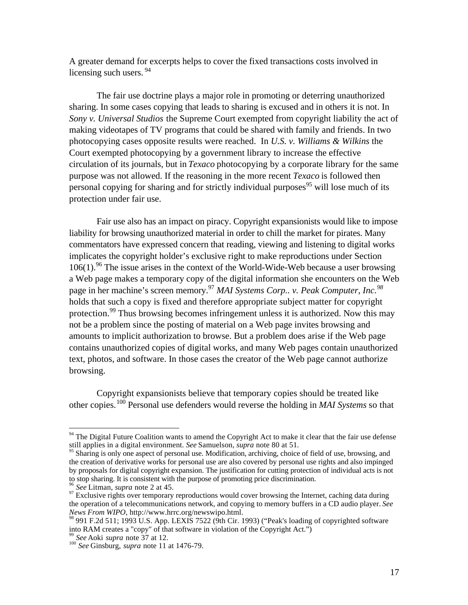A greater demand for excerpts helps to cover the fixed transactions costs involved in licensing such users.  $94$ 

The fair use doctrine plays a major role in promoting or deterring unauthorized sharing. In some cases copying that leads to sharing is excused and in others it is not. In *Sony v. Universal Studios* the Supreme Court exempted from copyright liability the act of making videotapes of TV programs that could be shared with family and friends. In two photocopying cases opposite results were reached. In *U.S. v. Williams & Wilkins* the Court exempted photocopying by a government library to increase the effective circulation of its journals, but in *Texaco* photocopying by a corporate library for the same purpose was not allowed. If the reasoning in the more recent *Texaco* is followed then personal copying for sharing and for strictly individual purposes<sup>95</sup> will lose much of its protection under fair use.

Fair use also has an impact on piracy. Copyright expansionists would like to impose liability for browsing unauthorized material in order to chill the market for pirates. Many commentators have expressed concern that reading, viewing and listening to digital works implicates the copyright holder's exclusive right to make reproductions under Section  $106(1)$ <sup>96</sup>. The issue arises in the context of the World-Wide-Web because a user browsing a Web page makes a temporary copy of the digital information she encounters on the Web page in her machine's screen memory.<sup>97</sup> *MAI Systems Corp.. v. Peak Computer, Inc.<sup>98</sup>* holds that such a copy is fixed and therefore appropriate subject matter for copyright protection.<sup>99</sup> Thus browsing becomes infringement unless it is authorized. Now this may not be a problem since the posting of material on a Web page invites browsing and amounts to implicit authorization to browse. But a problem does arise if the Web page contains unauthorized copies of digital works, and many Web pages contain unauthorized text, photos, and software. In those cases the creator of the Web page cannot authorize browsing.

Copyright expansionists believe that temporary copies should be treated like other copies.<sup>100</sup> Personal use defenders would reverse the holding in *MAI Systems* so that

<sup>&</sup>lt;sup>94</sup> The Digital Future Coalition wants to amend the Copyright Act to make it clear that the fair use defense still applies in a digital environment. *See* Samuelson, *supra* note 80 at 51.

<sup>&</sup>lt;sup>95</sup> Sharing is only one aspect of personal use. Modification, archiving, choice of field of use, browsing, and the creation of derivative works for personal use are also covered by personal use rights and also impinged by proposals for digital copyright expansion. The justification for cutting protection of individual acts is not to stop sharing. It is consistent with the purpose of promoting price discrimination.

<sup>96</sup> *See* Litman, *supra* note 2 at 45.

 $\frac{97}{2}$  Exclusive rights over temporary reproductions would cover browsing the Internet, caching data during the operation of a telecommunications network, and copying to memory buffers in a CD audio player. *See News From WIPO*, http://www.hrrc.org/newswipo.html.

 $98$  991 F.2d 511; 1993 U.S. App. LEXIS 7522 (9th Cir. 1993) ("Peak's loading of copyrighted software into RAM creates a "copy" of that software in violation of the Copyright Act.")

<sup>99</sup> *See* Aoki *supra* note 37 at 12.

<sup>100</sup> *See* Ginsburg, *supra* note 11 at 1476-79.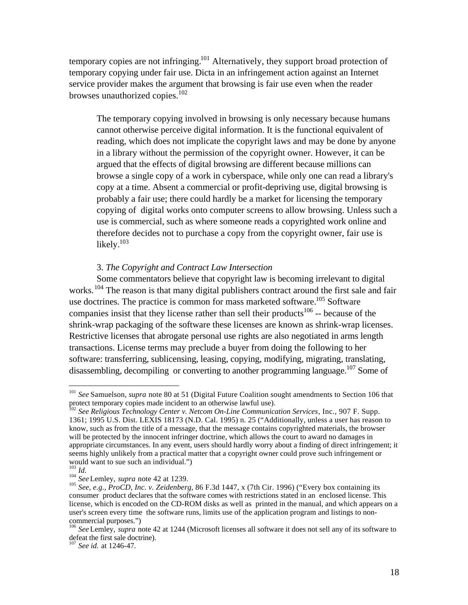temporary copies are not infringing.<sup>101</sup> Alternatively, they support broad protection of temporary copying under fair use. Dicta in an infringement action against an Internet service provider makes the argument that browsing is fair use even when the reader browses unauthorized copies.<sup>102</sup>

The temporary copying involved in browsing is only necessary because humans cannot otherwise perceive digital information. It is the functional equivalent of reading, which does not implicate the copyright laws and may be done by anyone in a library without the permission of the copyright owner. However, it can be argued that the effects of digital browsing are different because millions can browse a single copy of a work in cyberspace, while only one can read a library's copy at a time. Absent a commercial or profit-depriving use, digital browsing is probably a fair use; there could hardly be a market for licensing the temporary copying of digital works onto computer screens to allow browsing. Unless such a use is commercial, such as where someone reads a copyrighted work online and therefore decides not to purchase a copy from the copyright owner, fair use is likely.<sup>103</sup>

#### 3. *The Copyright and Contract Law Intersection*

Some commentators believe that copyright law is becoming irrelevant to digital works.<sup>104</sup> The reason is that many digital publishers contract around the first sale and fair use doctrines. The practice is common for mass marketed software.<sup>105</sup> Software companies insist that they license rather than sell their products<sup>106</sup>  $-$  because of the shrink-wrap packaging of the software these licenses are known as shrink-wrap licenses. Restrictive licenses that abrogate personal use rights are also negotiated in arms length transactions. License terms may preclude a buyer from doing the following to her software: transferring, sublicensing, leasing, copying, modifying, migrating, translating, disassembling, decompiling or converting to another programming language.<sup>107</sup> Some of

<sup>101</sup> *See* Samuelson, *supra* note 80 at 51 (Digital Future Coalition sought amendments to Section 106 that protect temporary copies made incident to an otherwise lawful use).

<sup>102</sup> *See Religious Technology Center v. Netcom On-Line Communication Services*, Inc., 907 F. Supp. 1361; 1995 U.S. Dist. LEXIS 18173 (N.D. Cal. 1995) n. 25 ("Additionally, unless a user has reason to know, such as from the title of a message, that the message contains copyrighted materials, the browser will be protected by the innocent infringer doctrine, which allows the court to award no damages in appropriate circumstances. In any event, users should hardly worry about a finding of direct infringement; it seems highly unlikely from a practical matter that a copyright owner could prove such infringement or would want to sue such an individual.")

<sup>103</sup> *Id.*

<sup>104</sup> *See* Lemley, *supra* note 42 at 1239.

<sup>105</sup> *See, e.g., ProCD, Inc. v. Zeidenberg*, 86 F.3d 1447, x (7th Cir. 1996) ("Every box containing its consumer product declares that the software comes with restrictions stated in an enclosed license. This license, which is encoded on the CD-ROM disks as well as printed in the manual, and which appears on a user's screen every time the software runs, limits use of the application program and listings to noncommercial purposes.")

<sup>106</sup> *See* Lemley, *supra* note 42 at 1244 (Microsoft licenses all software it does not sell any of its software to defeat the first sale doctrine).

<sup>107</sup> *See id.* at 1246-47.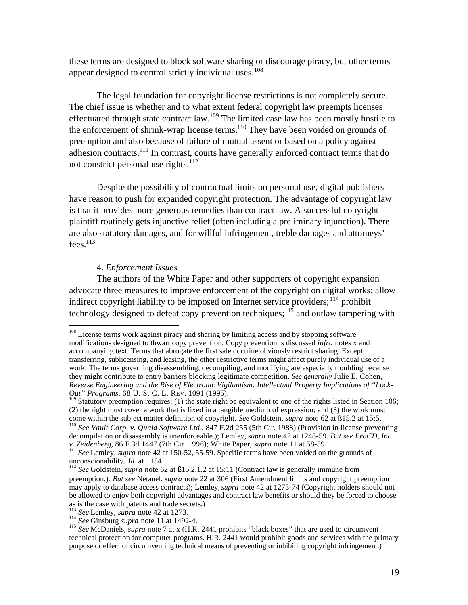these terms are designed to block software sharing or discourage piracy, but other terms appear designed to control strictly individual uses.<sup>108</sup>

The legal foundation for copyright license restrictions is not completely secure. The chief issue is whether and to what extent federal copyright law preempts licenses effectuated through state contract law.<sup>109</sup> The limited case law has been mostly hostile to the enforcement of shrink-wrap license terms.<sup>110</sup> They have been voided on grounds of preemption and also because of failure of mutual assent or based on a policy against adhesion contracts.<sup>111</sup> In contrast, courts have generally enforced contract terms that do not constrict personal use rights. $112$ 

Despite the possibility of contractual limits on personal use, digital publishers have reason to push for expanded copyright protection. The advantage of copyright law is that it provides more generous remedies than contract law. A successful copyright plaintiff routinely gets injunctive relief (often including a preliminary injunction). There are also statutory damages, and for willful infringement, treble damages and attorneys'  $fees.<sup>113</sup>$ 

#### 4. *Enforcement Issues*

 $\overline{a}$ 

The authors of the White Paper and other supporters of copyright expansion advocate three measures to improve enforcement of the copyright on digital works: allow indirect copyright liability to be imposed on Internet service providers;  $114$  prohibit technology designed to defeat copy prevention techniques;<sup>115</sup> and outlaw tampering with

<sup>&</sup>lt;sup>108</sup> License terms work against piracy and sharing by limiting access and by stopping software modifications designed to thwart copy prevention. Copy prevention is discussed *infra* notes x and accompanying text. Terms that abrogate the first sale doctrine obviously restrict sharing. Except transferring, sublicensing, and leasing, the other restrictive terms might affect purely individual use of a work. The terms governing disassembling, decompiling, and modifying are especially troubling because they might contribute to entry barriers blocking legitimate competition. *See generally* Julie E. Cohen, *Reverse Engineering and the Rise of Electronic Vigilantism: Intellectual Property Implications of "Lock-Out" Programs,* 68 U. S. C. L. REV. 1091 (1995).

 $109$  Statutory preemption requires: (1) the state right be equivalent to one of the rights listed in Section 106; (2) the right must cover a work that is fixed in a tangible medium of expression; and (3) the work must come within the subject matter definition of copyright. *See* Goldstein, *supra* note 62 at ß15.2 at 15:5.

<sup>110</sup> *See Vault Corp. v. Quaid Software Ltd*., 847 F.2d 255 (5th Cir. 1988) (Provision in license preventing decompilation or disassembly is unenforceable.); Lemley, *supra* note 42 at 1248-59. *But see ProCD, Inc. v. Zeidenberg*, 86 F.3d 1447 (7th Cir. 1996); White Paper, *supra* note 11 at 58-59.

<sup>111</sup> *See* Lemley, *supra* note 42 at 150-52, 55-59. Specific terms have been voided on the grounds of unconscionability. *Id*. at 1154.

<sup>112</sup> *See* Goldstein, *supra* note 62 at ß15.2.1.2 at 15:11 (Contract law is generally immune from preemption.). *But see* Netanel, *supra* note 22 at 306 (First Amendment limits and copyright preemption may apply to database access contracts); Lemley, *supra* note 42 at 1273-74 (Copyright holders should not be allowed to enjoy both copyright advantages and contract law benefits or should they be forced to choose as is the case with patents and trade secrets.)

<sup>113</sup> *See* Lemley, *supra* note 42 at 1273.

<sup>114</sup> *See* Ginsburg *supra* note 11 at 1492-4.

<sup>115</sup> *See* McDaniels, *supra* note 7 at x (H.R. 2441 prohibits "black boxes" that are used to circumvent technical protection for computer programs. H.R. 2441 would prohibit goods and services with the primary purpose or effect of circumventing technical means of preventing or inhibiting copyright infringement.)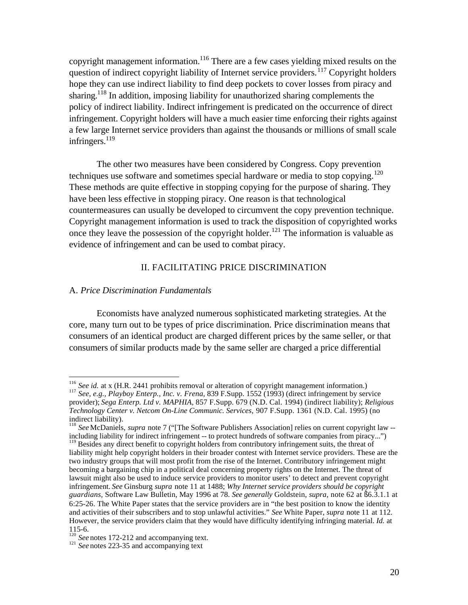copyright management information.<sup>116</sup> There are a few cases yielding mixed results on the question of indirect copyright liability of Internet service providers.<sup>117</sup> Copyright holders hope they can use indirect liability to find deep pockets to cover losses from piracy and sharing.<sup>118</sup> In addition, imposing liability for unauthorized sharing complements the policy of indirect liability. Indirect infringement is predicated on the occurrence of direct infringement. Copyright holders will have a much easier time enforcing their rights against a few large Internet service providers than against the thousands or millions of small scale infringers.<sup>119</sup>

The other two measures have been considered by Congress. Copy prevention techniques use software and sometimes special hardware or media to stop copying.<sup>120</sup> These methods are quite effective in stopping copying for the purpose of sharing. They have been less effective in stopping piracy. One reason is that technological countermeasures can usually be developed to circumvent the copy prevention technique. Copyright management information is used to track the disposition of copyrighted works once they leave the possession of the copyright holder.<sup>121</sup> The information is valuable as evidence of infringement and can be used to combat piracy.

#### II. FACILITATING PRICE DISCRIMINATION

#### A. *Price Discrimination Fundamentals*

 $\overline{a}$ 

Economists have analyzed numerous sophisticated marketing strategies. At the core, many turn out to be types of price discrimination. Price discrimination means that consumers of an identical product are charged different prices by the same seller, or that consumers of similar products made by the same seller are charged a price differential

<sup>&</sup>lt;sup>116</sup> See id. at x (H.R. 2441 prohibits removal or alteration of copyright management information.)

<sup>117</sup> *See, e.g., Playboy Enterp., Inc. v. Frena,* 839 F.Supp. 1552 (1993) (direct infringement by service provider); *Sega Enterp. Ltd v. MAPHIA,* 857 F.Supp. 679 (N.D. Cal. 1994) (indirect liability); *Religious Technology Center v. Netcom On-Line Communic. Services,* 907 F.Supp. 1361 (N.D. Cal. 1995) (no indirect liability).

<sup>118</sup> *See* McDaniels, *supra* note 7 ("[The Software Publishers Association] relies on current copyright law - including liability for indirect infringement -- to protect hundreds of software companies from piracy...")

<sup>&</sup>lt;sup>119</sup> Besides any direct benefit to copyright holders from contributory infringement suits, the threat of liability might help copyright holders in their broader contest with Internet service providers. These are the two industry groups that will most profit from the rise of the Internet. Contributory infringement might becoming a bargaining chip in a political deal concerning property rights on the Internet. The threat of lawsuit might also be used to induce service providers to monitor users' to detect and prevent copyright infringement. *See* Ginsburg *supra* note 11 at 1488; *Why Internet service providers should be copyright guardians,* Software Law Bulletin, May 1996 at 78. *See generally* Goldstein, *supra*, note 62 at ß6.3.1.1 at 6:25-26. The White Paper states that the service providers are in "the best position to know the identity and activities of their subscribers and to stop unlawful activities." *See* White Paper, *supra* note 11 at 112. However, the service providers claim that they would have difficulty identifying infringing material. *Id.* at 115-6.

<sup>&</sup>lt;sup>120</sup> *See* notes 172-212 and accompanying text.

<sup>&</sup>lt;sup>121</sup> See notes 223-35 and accompanying text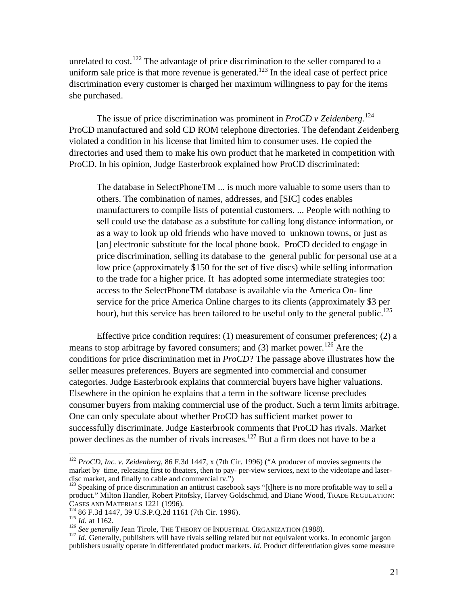unrelated to cost.<sup>122</sup> The advantage of price discrimination to the seller compared to a uniform sale price is that more revenue is generated.<sup>123</sup> In the ideal case of perfect price discrimination every customer is charged her maximum willingness to pay for the items she purchased.

The issue of price discrimination was prominent in *ProCD v Zeidenberg.*<sup>124</sup> ProCD manufactured and sold CD ROM telephone directories. The defendant Zeidenberg violated a condition in his license that limited him to consumer uses. He copied the directories and used them to make his own product that he marketed in competition with ProCD. In his opinion, Judge Easterbrook explained how ProCD discriminated:

The database in SelectPhoneTM ... is much more valuable to some users than to others. The combination of names, addresses, and [SIC] codes enables manufacturers to compile lists of potential customers. ... People with nothing to sell could use the database as a substitute for calling long distance information, or as a way to look up old friends who have moved to unknown towns, or just as [an] electronic substitute for the local phone book. ProCD decided to engage in price discrimination, selling its database to the general public for personal use at a low price (approximately \$150 for the set of five discs) while selling information to the trade for a higher price. It has adopted some intermediate strategies too: access to the SelectPhoneTM database is available via the America On- line service for the price America Online charges to its clients (approximately \$3 per hour), but this service has been tailored to be useful only to the general public.<sup>125</sup>

Effective price condition requires: (1) measurement of consumer preferences; (2) a means to stop arbitrage by favored consumers; and (3) market power.<sup>126</sup> Are the conditions for price discrimination met in *ProCD*? The passage above illustrates how the seller measures preferences. Buyers are segmented into commercial and consumer categories. Judge Easterbrook explains that commercial buyers have higher valuations. Elsewhere in the opinion he explains that a term in the software license precludes consumer buyers from making commercial use of the product. Such a term limits arbitrage. One can only speculate about whether ProCD has sufficient market power to successfully discriminate. Judge Easterbrook comments that ProCD has rivals. Market power declines as the number of rivals increases.<sup>127</sup> But a firm does not have to be a

<sup>122</sup> *ProCD, Inc. v. Zeidenberg*, 86 F.3d 1447, x (7th Cir. 1996) ("A producer of movies segments the market by time, releasing first to theaters, then to pay- per-view services, next to the videotape and laserdisc market, and finally to cable and commercial tv.")

<sup>&</sup>lt;sup>123</sup> Speaking of price discrimination an antitrust casebook says "[t]here is no more profitable way to sell a product." Milton Handler, Robert Pitofsky, Harvey Goldschmid, and Diane Wood, TRADE REGULATION: CASES AND MATERIALS 1221 (1996).

<sup>124</sup> 86 F.3d 1447, 39 U.S.P.Q.2d 1161 (7th Cir. 1996).

 $^{125}$  *Id.* at 1162.

<sup>&</sup>lt;sup>126</sup> See generally Jean Tirole, THE THEORY OF INDUSTRIAL ORGANIZATION (1988).

<sup>&</sup>lt;sup>127</sup> *Id.* Generally, publishers will have rivals selling related but not equivalent works. In economic jargon publishers usually operate in differentiated product markets. *Id.* Product differentiation gives some measure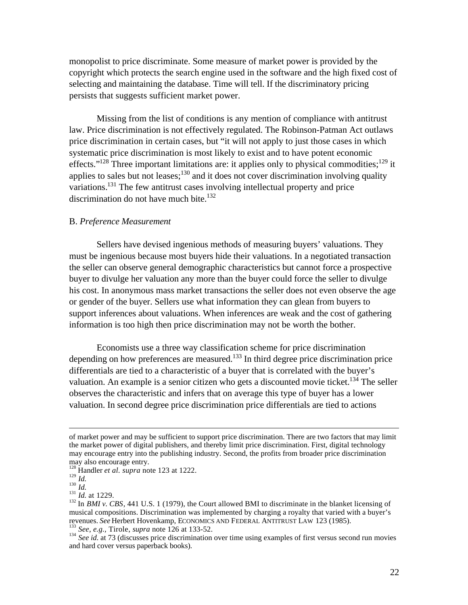monopolist to price discriminate. Some measure of market power is provided by the copyright which protects the search engine used in the software and the high fixed cost of selecting and maintaining the database. Time will tell. If the discriminatory pricing persists that suggests sufficient market power.

Missing from the list of conditions is any mention of compliance with antitrust law. Price discrimination is not effectively regulated. The Robinson-Patman Act outlaws price discrimination in certain cases, but "it will not apply to just those cases in which systematic price discrimination is most likely to exist and to have potent economic effects."<sup>128</sup> Three important limitations are: it applies only to physical commodities;<sup>129</sup> it applies to sales but not leases; $130$  and it does not cover discrimination involving quality variations.<sup>131</sup> The few antitrust cases involving intellectual property and price discrimination do not have much bite. $132$ 

#### B. *Preference Measurement*

Sellers have devised ingenious methods of measuring buyers' valuations. They must be ingenious because most buyers hide their valuations. In a negotiated transaction the seller can observe general demographic characteristics but cannot force a prospective buyer to divulge her valuation any more than the buyer could force the seller to divulge his cost. In anonymous mass market transactions the seller does not even observe the age or gender of the buyer. Sellers use what information they can glean from buyers to support inferences about valuations. When inferences are weak and the cost of gathering information is too high then price discrimination may not be worth the bother.

Economists use a three way classification scheme for price discrimination depending on how preferences are measured.<sup>133</sup> In third degree price discrimination price differentials are tied to a characteristic of a buyer that is correlated with the buyer's valuation. An example is a senior citizen who gets a discounted movie ticket.<sup>134</sup> The seller observes the characteristic and infers that on average this type of buyer has a lower valuation. In second degree price discrimination price differentials are tied to actions

of market power and may be sufficient to support price discrimination. There are two factors that may limit the market power of digital publishers, and thereby limit price discrimination. First, digital technology may encourage entry into the publishing industry. Second, the profits from broader price discrimination may also encourage entry.

<sup>128</sup> Handler *et al. supra* note 123 at 1222.

<sup>129</sup> *Id*.

<sup>130</sup> *Id*.

<sup>131</sup> *Id*. at 1229.

<sup>&</sup>lt;sup>132</sup> In *BMI v. CBS*, 441 U.S. 1 (1979), the Court allowed BMI to discriminate in the blanket licensing of musical compositions. Discrimination was implemented by charging a royalty that varied with a buyer's revenues. *See* Herbert Hovenkamp, ECONOMICS AND FEDERAL ANTITRUST LAW 123 (1985). <sup>133</sup> *See, e.g.,* Tirole, *supra* note 126 at 133-52.

<sup>134</sup> *See id.* at 73 (discusses price discrimination over time using examples of first versus second run movies and hard cover versus paperback books).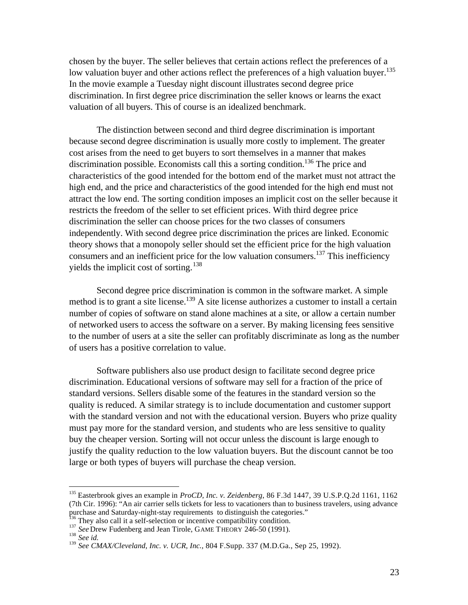chosen by the buyer. The seller believes that certain actions reflect the preferences of a low valuation buyer and other actions reflect the preferences of a high valuation buyer.<sup>135</sup> In the movie example a Tuesday night discount illustrates second degree price discrimination. In first degree price discrimination the seller knows or learns the exact valuation of all buyers. This of course is an idealized benchmark.

The distinction between second and third degree discrimination is important because second degree discrimination is usually more costly to implement. The greater cost arises from the need to get buyers to sort themselves in a manner that makes discrimination possible. Economists call this a sorting condition.<sup>136</sup> The price and characteristics of the good intended for the bottom end of the market must not attract the high end, and the price and characteristics of the good intended for the high end must not attract the low end. The sorting condition imposes an implicit cost on the seller because it restricts the freedom of the seller to set efficient prices. With third degree price discrimination the seller can choose prices for the two classes of consumers independently. With second degree price discrimination the prices are linked. Economic theory shows that a monopoly seller should set the efficient price for the high valuation consumers and an inefficient price for the low valuation consumers.<sup>137</sup> This inefficiency yields the implicit cost of sorting.<sup>138</sup>

Second degree price discrimination is common in the software market. A simple method is to grant a site license.<sup>139</sup> A site license authorizes a customer to install a certain number of copies of software on stand alone machines at a site, or allow a certain number of networked users to access the software on a server. By making licensing fees sensitive to the number of users at a site the seller can profitably discriminate as long as the number of users has a positive correlation to value.

Software publishers also use product design to facilitate second degree price discrimination. Educational versions of software may sell for a fraction of the price of standard versions. Sellers disable some of the features in the standard version so the quality is reduced. A similar strategy is to include documentation and customer support with the standard version and not with the educational version. Buyers who prize quality must pay more for the standard version, and students who are less sensitive to quality buy the cheaper version. Sorting will not occur unless the discount is large enough to justify the quality reduction to the low valuation buyers. But the discount cannot be too large or both types of buyers will purchase the cheap version.

<sup>135</sup> Easterbrook gives an example in *ProCD, Inc. v. Zeidenberg*, 86 F.3d 1447, 39 U.S.P.Q.2d 1161, 1162 (7th Cir. 1996): "An air carrier sells tickets for less to vacationers than to business travelers, using advance purchase and Saturday-night-stay requirements to distinguish the categories."

<sup>&</sup>lt;sup>136</sup> They also call it a self-selection or incentive compatibility condition.

<sup>&</sup>lt;sup>137</sup> See Drew Fudenberg and Jean Tirole, GAME THEORY 246-50 (1991).

<sup>138</sup> *See id.*

<sup>139</sup> *See CMAX/Cleveland, Inc. v. UCR, Inc.,* 804 F.Supp. 337 (M.D.Ga., Sep 25, 1992).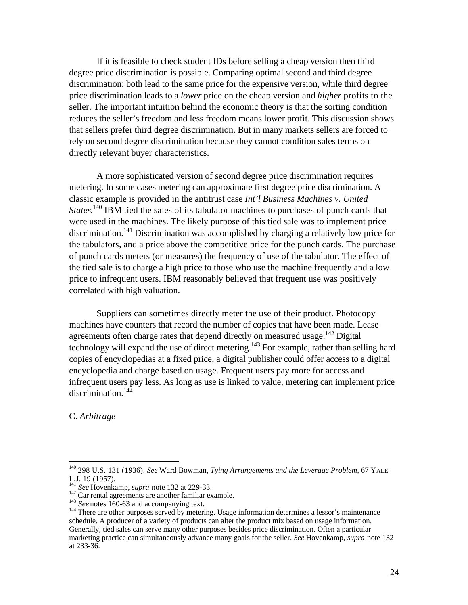If it is feasible to check student IDs before selling a cheap version then third degree price discrimination is possible. Comparing optimal second and third degree discrimination: both lead to the same price for the expensive version, while third degree price discrimination leads to a *lower* price on the cheap version and *higher* profits to the seller. The important intuition behind the economic theory is that the sorting condition reduces the seller's freedom and less freedom means lower profit. This discussion shows that sellers prefer third degree discrimination. But in many markets sellers are forced to rely on second degree discrimination because they cannot condition sales terms on directly relevant buyer characteristics.

A more sophisticated version of second degree price discrimination requires metering. In some cases metering can approximate first degree price discrimination. A classic example is provided in the antitrust case *Int'l Business Machines v. United States*. <sup>140</sup> IBM tied the sales of its tabulator machines to purchases of punch cards that were used in the machines. The likely purpose of this tied sale was to implement price discrimination.<sup>141</sup> Discrimination was accomplished by charging a relatively low price for the tabulators, and a price above the competitive price for the punch cards. The purchase of punch cards meters (or measures) the frequency of use of the tabulator. The effect of the tied sale is to charge a high price to those who use the machine frequently and a low price to infrequent users. IBM reasonably believed that frequent use was positively correlated with high valuation.

Suppliers can sometimes directly meter the use of their product. Photocopy machines have counters that record the number of copies that have been made. Lease agreements often charge rates that depend directly on measured usage.<sup>142</sup> Digital technology will expand the use of direct metering.<sup>143</sup> For example, rather than selling hard copies of encyclopedias at a fixed price, a digital publisher could offer access to a digital encyclopedia and charge based on usage. Frequent users pay more for access and infrequent users pay less. As long as use is linked to value, metering can implement price discrimination.<sup>144</sup>

C. *Arbitrage*

<sup>140</sup> 298 U.S. 131 (1936). *See* Ward Bowman, *Tying Arrangements and the Leverage Problem,* 67 YALE L.J. 19 (1957).

<sup>141</sup> *See* Hovenkamp, *supra* note 132 at 229-33.

<sup>&</sup>lt;sup>142</sup> Car rental agreements are another familiar example.

<sup>&</sup>lt;sup>143</sup> *See* notes 160-63 and accompanying text.

<sup>&</sup>lt;sup>144</sup> There are other purposes served by metering. Usage information determines a lessor's maintenance schedule. A producer of a variety of products can alter the product mix based on usage information. Generally, tied sales can serve many other purposes besides price discrimination. Often a particular marketing practice can simultaneously advance many goals for the seller. *See* Hovenkamp, *supra* note 132 at 233-36.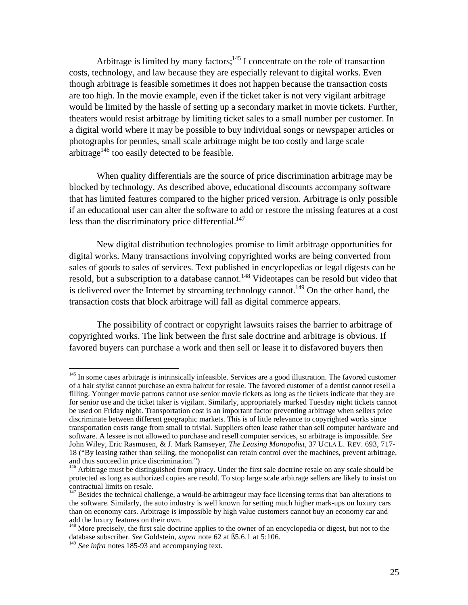Arbitrage is limited by many factors;<sup>145</sup> I concentrate on the role of transaction costs, technology, and law because they are especially relevant to digital works. Even though arbitrage is feasible sometimes it does not happen because the transaction costs are too high. In the movie example, even if the ticket taker is not very vigilant arbitrage would be limited by the hassle of setting up a secondary market in movie tickets. Further, theaters would resist arbitrage by limiting ticket sales to a small number per customer. In a digital world where it may be possible to buy individual songs or newspaper articles or photographs for pennies, small scale arbitrage might be too costly and large scale arbitrage<sup>146</sup> too easily detected to be feasible.

When quality differentials are the source of price discrimination arbitrage may be blocked by technology. As described above, educational discounts accompany software that has limited features compared to the higher priced version. Arbitrage is only possible if an educational user can alter the software to add or restore the missing features at a cost less than the discriminatory price differential. $147$ 

New digital distribution technologies promise to limit arbitrage opportunities for digital works. Many transactions involving copyrighted works are being converted from sales of goods to sales of services. Text published in encyclopedias or legal digests can be resold, but a subscription to a database cannot.<sup>148</sup> Videotapes can be resold but video that is delivered over the Internet by streaming technology cannot.<sup>149</sup> On the other hand, the transaction costs that block arbitrage will fall as digital commerce appears.

The possibility of contract or copyright lawsuits raises the barrier to arbitrage of copyrighted works. The link between the first sale doctrine and arbitrage is obvious. If favored buyers can purchase a work and then sell or lease it to disfavored buyers then

<sup>&</sup>lt;sup>145</sup> In some cases arbitrage is intrinsically infeasible. Services are a good illustration. The favored customer of a hair stylist cannot purchase an extra haircut for resale. The favored customer of a dentist cannot resell a filling. Younger movie patrons cannot use senior movie tickets as long as the tickets indicate that they are for senior use and the ticket taker is vigilant. Similarly, appropriately marked Tuesday night tickets cannot be used on Friday night. Transportation cost is an important factor preventing arbitrage when sellers price discriminate between different geographic markets. This is of little relevance to copyrighted works since transportation costs range from small to trivial. Suppliers often lease rather than sell computer hardware and software. A lessee is not allowed to purchase and resell computer services, so arbitrage is impossible. *See* John Wiley, Eric Rasmusen, & J. Mark Ramseyer, *The Leasing Monopolist,* 37 UCLA L. REV. 693, 717- 18 ("By leasing rather than selling, the monopolist can retain control over the machines, prevent arbitrage, and thus succeed in price discrimination.")

<sup>&</sup>lt;sup>146</sup> Arbitrage must be distinguished from piracy. Under the first sale doctrine resale on any scale should be protected as long as authorized copies are resold. To stop large scale arbitrage sellers are likely to insist on contractual limits on resale.

 $147$  Besides the technical challenge, a would-be arbitrageur may face licensing terms that ban alterations to the software. Similarly, the auto industry is well known for setting much higher mark-ups on luxury cars than on economy cars. Arbitrage is impossible by high value customers cannot buy an economy car and add the luxury features on their own.

<sup>&</sup>lt;sup>148</sup> More precisely, the first sale doctrine applies to the owner of an encyclopedia or digest, but not to the database subscriber. *See* Goldstein, *supra* note 62 at ß5.6.1 at 5:106.

<sup>&</sup>lt;sup>149</sup> *See infra* notes 185-93 and accompanying text.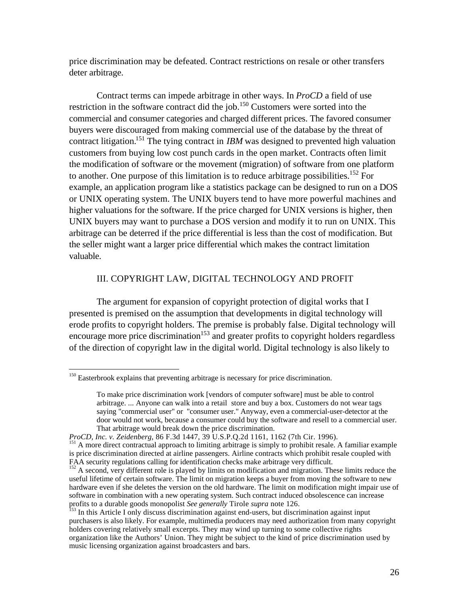price discrimination may be defeated. Contract restrictions on resale or other transfers deter arbitrage.

Contract terms can impede arbitrage in other ways. In *ProCD* a field of use restriction in the software contract did the job.<sup>150</sup> Customers were sorted into the commercial and consumer categories and charged different prices. The favored consumer buyers were discouraged from making commercial use of the database by the threat of contract litigation.<sup>151</sup> The tying contract in *IBM* was designed to prevented high valuation customers from buying low cost punch cards in the open market. Contracts often limit the modification of software or the movement (migration) of software from one platform to another. One purpose of this limitation is to reduce arbitrage possibilities.<sup>152</sup> For example, an application program like a statistics package can be designed to run on a DOS or UNIX operating system. The UNIX buyers tend to have more powerful machines and higher valuations for the software. If the price charged for UNIX versions is higher, then UNIX buyers may want to purchase a DOS version and modify it to run on UNIX. This arbitrage can be deterred if the price differential is less than the cost of modification. But the seller might want a larger price differential which makes the contract limitation valuable.

## III. COPYRIGHT LAW, DIGITAL TECHNOLOGY AND PROFIT

The argument for expansion of copyright protection of digital works that I presented is premised on the assumption that developments in digital technology will erode profits to copyright holders. The premise is probably false. Digital technology will encourage more price discrimination<sup>153</sup> and greater profits to copyright holders regardless of the direction of copyright law in the digital world. Digital technology is also likely to

 $\overline{a}$ 

*ProCD, Inc. v. Zeidenberg*, 86 F.3d 1447, 39 U.S.P.Q.2d 1161, 1162 (7th Cir. 1996).

 $150$  Easterbrook explains that preventing arbitrage is necessary for price discrimination.

To make price discrimination work [vendors of computer software] must be able to control arbitrage. ... Anyone can walk into a retail store and buy a box. Customers do not wear tags saying "commercial user" or "consumer user." Anyway, even a commercial-user-detector at the door would not work, because a consumer could buy the software and resell to a commercial user. That arbitrage would break down the price discrimination.

<sup>&</sup>lt;sup>151</sup> A more direct contractual approach to limiting arbitrage is simply to prohibit resale. A familiar example is price discrimination directed at airline passengers. Airline contracts which prohibit resale coupled with FAA security regulations calling for identification checks make arbitrage very difficult.

<sup>&</sup>lt;sup>152</sup> A second, very different role is played by limits on modification and migration. These limits reduce the useful lifetime of certain software. The limit on migration keeps a buyer from moving the software to new hardware even if she deletes the version on the old hardware. The limit on modification might impair use of software in combination with a new operating system. Such contract induced obsolescence can increase profits to a durable goods monopolist *See generally* Tirole *supra* note 126.

In this Article I only discuss discrimination against end-users, but discrimination against input purchasers is also likely. For example, multimedia producers may need authorization from many copyright holders covering relatively small excerpts. They may wind up turning to some collective rights organization like the Authors' Union. They might be subject to the kind of price discrimination used by music licensing organization against broadcasters and bars.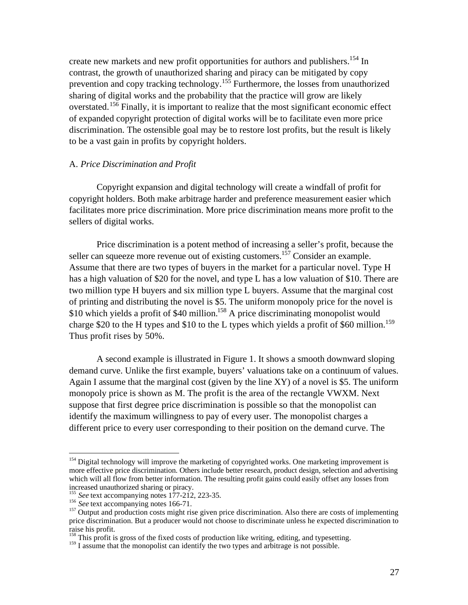create new markets and new profit opportunities for authors and publishers.<sup>154</sup> In contrast, the growth of unauthorized sharing and piracy can be mitigated by copy prevention and copy tracking technology.<sup>155</sup> Furthermore, the losses from unauthorized sharing of digital works and the probability that the practice will grow are likely overstated.<sup>156</sup> Finally, it is important to realize that the most significant economic effect of expanded copyright protection of digital works will be to facilitate even more price discrimination. The ostensible goal may be to restore lost profits, but the result is likely to be a vast gain in profits by copyright holders.

#### A. *Price Discrimination and Profit*

Copyright expansion and digital technology will create a windfall of profit for copyright holders. Both make arbitrage harder and preference measurement easier which facilitates more price discrimination. More price discrimination means more profit to the sellers of digital works.

Price discrimination is a potent method of increasing a seller's profit, because the seller can squeeze more revenue out of existing customers.<sup>157</sup> Consider an example. Assume that there are two types of buyers in the market for a particular novel. Type H has a high valuation of \$20 for the novel, and type L has a low valuation of \$10. There are two million type H buyers and six million type L buyers. Assume that the marginal cost of printing and distributing the novel is \$5. The uniform monopoly price for the novel is \$10 which yields a profit of \$40 million.<sup>158</sup> A price discriminating monopolist would charge \$20 to the H types and \$10 to the L types which yields a profit of \$60 million.<sup>159</sup> Thus profit rises by 50%.

A second example is illustrated in Figure 1. It shows a smooth downward sloping demand curve. Unlike the first example, buyers' valuations take on a continuum of values. Again I assume that the marginal cost (given by the line XY) of a novel is \$5. The uniform monopoly price is shown as M. The profit is the area of the rectangle VWXM. Next suppose that first degree price discrimination is possible so that the monopolist can identify the maximum willingness to pay of every user. The monopolist charges a different price to every user corresponding to their position on the demand curve. The

<sup>&</sup>lt;sup>154</sup> Digital technology will improve the marketing of copyrighted works. One marketing improvement is more effective price discrimination. Others include better research, product design, selection and advertising which will all flow from better information. The resulting profit gains could easily offset any losses from increased unauthorized sharing or piracy.

<sup>155</sup> *See* text accompanying notes 177-212, 223-35.

<sup>&</sup>lt;sup>156</sup> See text accompanying notes 166-71.

<sup>&</sup>lt;sup>157</sup> Output and production costs might rise given price discrimination. Also there are costs of implementing price discrimination. But a producer would not choose to discriminate unless he expected discrimination to raise his profit.

<sup>&</sup>lt;sup>158</sup> This profit is gross of the fixed costs of production like writing, editing, and typesetting.

<sup>&</sup>lt;sup>159</sup> I assume that the monopolist can identify the two types and arbitrage is not possible.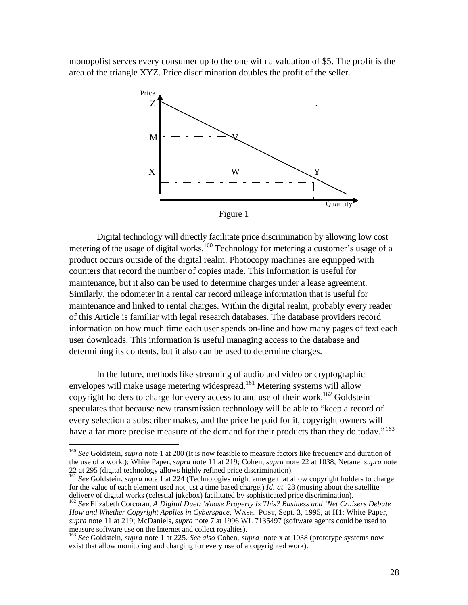monopolist serves every consumer up to the one with a valuation of \$5. The profit is the area of the triangle XYZ. Price discrimination doubles the profit of the seller.



Digital technology will directly facilitate price discrimination by allowing low cost metering of the usage of digital works.<sup>160</sup> Technology for metering a customer's usage of a product occurs outside of the digital realm. Photocopy machines are equipped with counters that record the number of copies made. This information is useful for maintenance, but it also can be used to determine charges under a lease agreement. Similarly, the odometer in a rental car record mileage information that is useful for maintenance and linked to rental charges. Within the digital realm, probably every reader of this Article is familiar with legal research databases. The database providers record information on how much time each user spends on-line and how many pages of text each user downloads. This information is useful managing access to the database and determining its contents, but it also can be used to determine charges.

In the future, methods like streaming of audio and video or cryptographic envelopes will make usage metering widespread.<sup>161</sup> Metering systems will allow copyright holders to charge for every access to and use of their work.<sup>162</sup> Goldstein speculates that because new transmission technology will be able to "keep a record of every selection a subscriber makes, and the price he paid for it, copyright owners will have a far more precise measure of the demand for their products than they do today."<sup>163</sup>

<sup>&</sup>lt;sup>160</sup> *See* Goldstein, *supra* note 1 at 200 (It is now feasible to measure factors like frequency and duration of the use of a work.); White Paper, *supra* note 11 at 219; Cohen, *supra* note 22 at 1038; Netanel *supra* note 22 at 295 (digital technology allows highly refined price discrimination).

<sup>&</sup>lt;sup>161</sup> *See* Goldstein, *supra* note 1 at 224 (Technologies might emerge that allow copyright holders to charge for the value of each element used not just a time based charge.) *Id. at* 28 (musing about the satellite delivery of digital works (celestial jukebox) facilitated by sophisticated price discrimination).

<sup>162</sup> *See* Elizabeth Corcoran, *A Digital Duel: Whose Property Is This? Business and 'Net Cruisers Debate How and Whether Copyright Applies in Cyberspace*, WASH. POST, Sept. 3, 1995, at H1; White Paper, *supra* note 11 at 219; McDaniels, *supra* note 7 at 1996 WL 7135497 (software agents could be used to measure software use on the Internet and collect royalties).

<sup>163</sup> *See* Goldstein, *supra* note 1 at 225. *See also* Cohen, *supra* note x at 1038 (prototype systems now exist that allow monitoring and charging for every use of a copyrighted work).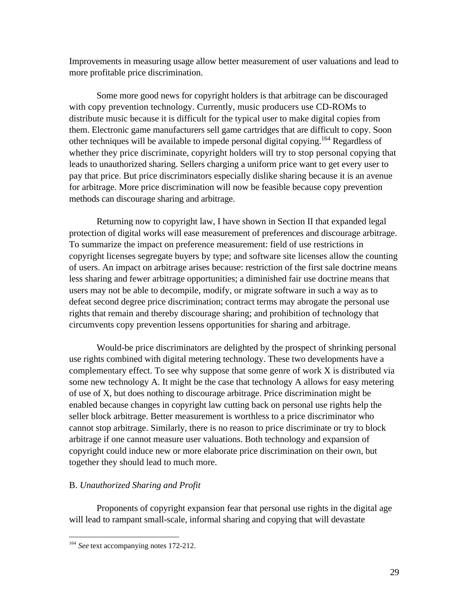Improvements in measuring usage allow better measurement of user valuations and lead to more profitable price discrimination.

Some more good news for copyright holders is that arbitrage can be discouraged with copy prevention technology. Currently, music producers use CD-ROMs to distribute music because it is difficult for the typical user to make digital copies from them. Electronic game manufacturers sell game cartridges that are difficult to copy. Soon other techniques will be available to impede personal digital copying.<sup>164</sup> Regardless of whether they price discriminate, copyright holders will try to stop personal copying that leads to unauthorized sharing. Sellers charging a uniform price want to get every user to pay that price. But price discriminators especially dislike sharing because it is an avenue for arbitrage. More price discrimination will now be feasible because copy prevention methods can discourage sharing and arbitrage.

Returning now to copyright law, I have shown in Section II that expanded legal protection of digital works will ease measurement of preferences and discourage arbitrage. To summarize the impact on preference measurement: field of use restrictions in copyright licenses segregate buyers by type; and software site licenses allow the counting of users. An impact on arbitrage arises because: restriction of the first sale doctrine means less sharing and fewer arbitrage opportunities; a diminished fair use doctrine means that users may not be able to decompile, modify, or migrate software in such a way as to defeat second degree price discrimination; contract terms may abrogate the personal use rights that remain and thereby discourage sharing; and prohibition of technology that circumvents copy prevention lessens opportunities for sharing and arbitrage.

Would-be price discriminators are delighted by the prospect of shrinking personal use rights combined with digital metering technology. These two developments have a complementary effect. To see why suppose that some genre of work X is distributed via some new technology A. It might be the case that technology A allows for easy metering of use of X, but does nothing to discourage arbitrage. Price discrimination might be enabled because changes in copyright law cutting back on personal use rights help the seller block arbitrage. Better measurement is worthless to a price discriminator who cannot stop arbitrage. Similarly, there is no reason to price discriminate or try to block arbitrage if one cannot measure user valuations. Both technology and expansion of copyright could induce new or more elaborate price discrimination on their own, but together they should lead to much more.

# B. *Unauthorized Sharing and Profit*

Proponents of copyright expansion fear that personal use rights in the digital age will lead to rampant small-scale, informal sharing and copying that will devastate

 $\overline{a}$ <sup>164</sup> See text accompanying notes 172-212.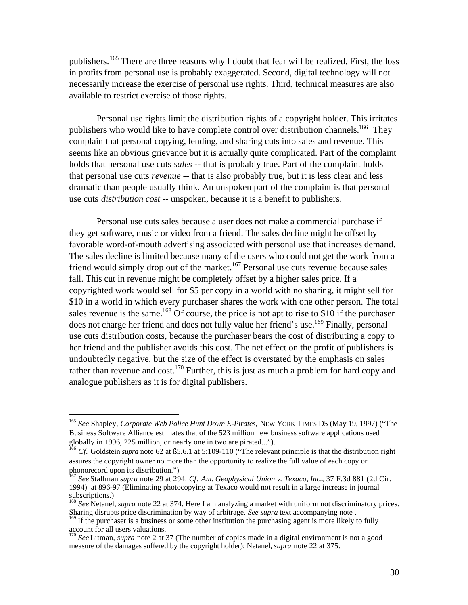publishers.<sup>165</sup> There are three reasons why I doubt that fear will be realized. First, the loss in profits from personal use is probably exaggerated. Second, digital technology will not necessarily increase the exercise of personal use rights. Third, technical measures are also available to restrict exercise of those rights.

Personal use rights limit the distribution rights of a copyright holder. This irritates publishers who would like to have complete control over distribution channels.<sup>166</sup> They complain that personal copying, lending, and sharing cuts into sales and revenue. This seems like an obvious grievance but it is actually quite complicated. Part of the complaint holds that personal use cuts *sales* -- that is probably true. Part of the complaint holds that personal use cuts *revenue* -- that is also probably true, but it is less clear and less dramatic than people usually think. An unspoken part of the complaint is that personal use cuts *distribution cost* -- unspoken, because it is a benefit to publishers.

Personal use cuts sales because a user does not make a commercial purchase if they get software, music or video from a friend. The sales decline might be offset by favorable word-of-mouth advertising associated with personal use that increases demand. The sales decline is limited because many of the users who could not get the work from a friend would simply drop out of the market.<sup>167</sup> Personal use cuts revenue because sales fall. This cut in revenue might be completely offset by a higher sales price. If a copyrighted work would sell for \$5 per copy in a world with no sharing, it might sell for \$10 in a world in which every purchaser shares the work with one other person. The total sales revenue is the same.<sup>168</sup> Of course, the price is not apt to rise to \$10 if the purchaser does not charge her friend and does not fully value her friend's use.<sup>169</sup> Finally, personal use cuts distribution costs, because the purchaser bears the cost of distributing a copy to her friend and the publisher avoids this cost. The net effect on the profit of publishers is undoubtedly negative, but the size of the effect is overstated by the emphasis on sales rather than revenue and  $cost^{170}$  Further, this is just as much a problem for hard copy and analogue publishers as it is for digital publishers.

<sup>165</sup> *See* Shapley, *Corporate Web Police Hunt Down E-Pirates*, NEW YORK TIMES D5 (May 19, 1997) ("The Business Software Alliance estimates that of the 523 million new business software applications used globally in 1996, 225 million, or nearly one in two are pirated...").

<sup>166</sup> *Cf.* Goldstein *supra* note 62 at ß5.6.1 at 5:109-110 ("The relevant principle is that the distribution right assures the copyright owner no more than the opportunity to realize the full value of each copy or phonorecord upon its distribution.")

<sup>167</sup> *See* Stallman *supra* note 29 at 294. *Cf*. *Am. Geophysical Union v. Texaco, Inc.*, 37 F.3d 881 (2d Cir. 1994) at 896-97 (Eliminating photocopying at Texaco would not result in a large increase in journal subscriptions.)

<sup>&</sup>lt;sup>168</sup> See Netanel, *supra* note 22 at 374. Here I am analyzing a market with uniform not discriminatory prices. Sharing disrupts price discrimination by way of arbitrage. *See supra* text accompanying note .

<sup>&</sup>lt;sup>169</sup> If the purchaser is a business or some other institution the purchasing agent is more likely to fully account for all users valuations.

<sup>170</sup> *See* Litman, *supra* note 2 at 37 (The number of copies made in a digital environment is not a good measure of the damages suffered by the copyright holder); Netanel, *supra* note 22 at 375.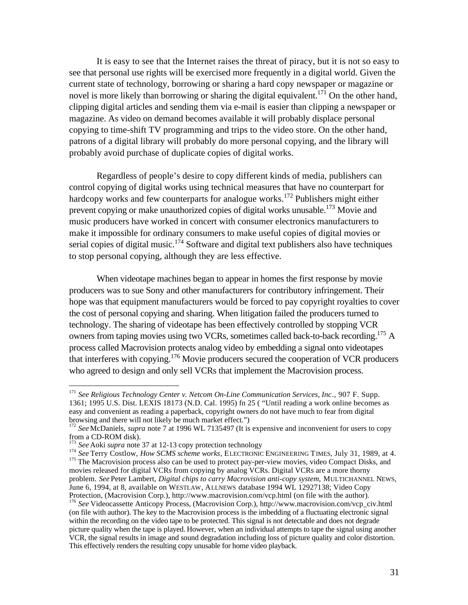It is easy to see that the Internet raises the threat of piracy, but it is not so easy to see that personal use rights will be exercised more frequently in a digital world. Given the current state of technology, borrowing or sharing a hard copy newspaper or magazine or novel is more likely than borrowing or sharing the digital equivalent.<sup>171</sup> On the other hand, clipping digital articles and sending them via e-mail is easier than clipping a newspaper or magazine. As video on demand becomes available it will probably displace personal copying to time-shift TV programming and trips to the video store. On the other hand, patrons of a digital library will probably do more personal copying, and the library will probably avoid purchase of duplicate copies of digital works.

Regardless of people's desire to copy different kinds of media, publishers can control copying of digital works using technical measures that have no counterpart for hardcopy works and few counterparts for analogue works.<sup>172</sup> Publishers might either prevent copying or make unauthorized copies of digital works unusable.<sup>173</sup> Movie and music producers have worked in concert with consumer electronics manufacturers to make it impossible for ordinary consumers to make useful copies of digital movies or serial copies of digital music.<sup>174</sup> Software and digital text publishers also have techniques to stop personal copying, although they are less effective.

When videotape machines began to appear in homes the first response by movie producers was to sue Sony and other manufacturers for contributory infringement. Their hope was that equipment manufacturers would be forced to pay copyright royalties to cover the cost of personal copying and sharing. When litigation failed the producers turned to technology. The sharing of videotape has been effectively controlled by stopping VCR owners from taping movies using two VCRs, sometimes called back-to-back recording.<sup>175</sup> A process called Macrovision protects analog video by embedding a signal onto videotapes that interferes with copying.<sup>176</sup> Movie producers secured the cooperation of VCR producers who agreed to design and only sell VCRs that implement the Macrovision process.

<sup>&</sup>lt;sup>171</sup> See Religious Technology Center v. Netcom On-Line Communication Services, Inc., 907 F. Supp. 1361; 1995 U.S. Dist. LEXIS 18173 (N.D. Cal. 1995) fn 25 ( "Until reading a work online becomes as easy and convenient as reading a paperback, copyright owners do not have much to fear from digital browsing and there will not likely be much market effect.")

<sup>&</sup>lt;sup>172</sup> *See* McDaniels, *supra* note 7 at 1996 WL 7135497 (It is expensive and inconvenient for users to copy from a CD-ROM disk).

<sup>173</sup> *See* Aoki *supra* note 37 at 12-13 copy protection technology

<sup>&</sup>lt;sup>174</sup> See Terry Costlow, *How SCMS scheme works*, ELECTRONIC ENGINEERING TIMES, July 31, 1989, at 4. <sup>175</sup> The Macrovision process also can be used to protect pay-per-view movies, video Compact Disks, and movies released for digital VCRs from copying by analog VCRs. Digital VCRs are a more thorny problem. *See* Peter Lambert, *Digital chips to carry Macrovision anti-copy system*, MULTICHANNEL NEWS, June 6, 1994, at 8, available on WESTLAW, ALLNEWS database 1994 WL 12927138; Video Copy Protection, (Macrovision Corp.), http://www.macrovision.com/vcp.html (on file with the author).

<sup>&</sup>lt;sup>176</sup> See Videocassette Anticopy Process, (Macrovision Corp.), http://www.macrovision.com/vcp\_civ.html (on file with author). The key to the Macrovision process is the imbedding of a fluctuating electronic signal within the recording on the video tape to be protected. This signal is not detectable and does not degrade picture quality when the tape is played. However, when an individual attempts to tape the signal using another VCR, the signal results in image and sound degradation including loss of picture quality and color distortion. This effectively renders the resulting copy unusable for home video playback.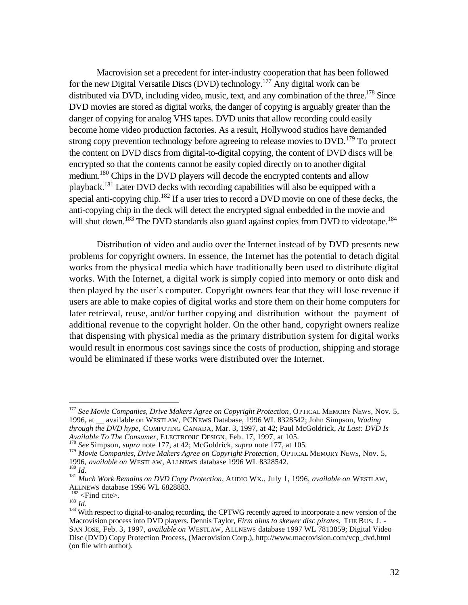Macrovision set a precedent for inter-industry cooperation that has been followed for the new Digital Versatile Discs (DVD) technology.<sup>177</sup> Any digital work can be distributed via DVD, including video, music, text, and any combination of the three.<sup>178</sup> Since DVD movies are stored as digital works, the danger of copying is arguably greater than the danger of copying for analog VHS tapes. DVD units that allow recording could easily become home video production factories. As a result, Hollywood studios have demanded strong copy prevention technology before agreeing to release movies to  $DVD$ <sup>179</sup> To protect the content on DVD discs from digital-to-digital copying, the content of DVD discs will be encrypted so that the contents cannot be easily copied directly on to another digital medium.<sup>180</sup> Chips in the DVD players will decode the encrypted contents and allow playback.<sup>181</sup> Later DVD decks with recording capabilities will also be equipped with a special anti-copying chip.<sup>182</sup> If a user tries to record a DVD movie on one of these decks, the anti-copying chip in the deck will detect the encrypted signal embedded in the movie and will shut down.<sup>183</sup> The DVD standards also guard against copies from DVD to videotape.<sup>184</sup>

Distribution of video and audio over the Internet instead of by DVD presents new problems for copyright owners. In essence, the Internet has the potential to detach digital works from the physical media which have traditionally been used to distribute digital works. With the Internet, a digital work is simply copied into memory or onto disk and then played by the user's computer. Copyright owners fear that they will lose revenue if users are able to make copies of digital works and store them on their home computers for later retrieval, reuse, and/or further copying and distribution without the payment of additional revenue to the copyright holder. On the other hand, copyright owners realize that dispensing with physical media as the primary distribution system for digital works would result in enormous cost savings since the costs of production, shipping and storage would be eliminated if these works were distributed over the Internet.

<sup>177</sup> *See Movie Companies, Drive Makers Agree on Copyright Protection*, OPTICAL MEMORY NEWS, Nov. 5, 1996, at \_\_ available on WESTLAW, PCNEWS Database, 1996 WL 8328542; John Simpson, *Wading through the DVD hype*, COMPUTING CANADA, Mar. 3, 1997, at 42; Paul McGoldrick, *At Last: DVD Is Available To The Consumer*, ELECTRONIC DESIGN, Feb. 17, 1997, at 105.

<sup>178</sup> *See* Simpson, *supra* note 177, at 42; McGoldrick, *supra* note 177, at 105*.*

<sup>&</sup>lt;sup>179</sup> Movie Companies, Drive Makers Agree on Copyright Protection, OPTICAL MEMORY NEWS, Nov. 5, 1996, *available on* WESTLAW, ALLNEWS database 1996 WL 8328542.

<sup>180</sup> *Id.*

<sup>181</sup> *Much Work Remains on DVD Copy Protection*, AUDIO WK., July 1, 1996, *available on* WESTLAW, ALLNEWS database 1996 WL 6828883.

 $182$  <Find cite>.

 $^{183}$  *Id.* 

<sup>&</sup>lt;sup>184</sup> With respect to digital-to-analog recording, the CPTWG recently agreed to incorporate a new version of the Macrovision process into DVD players. Dennis Taylor, *Firm aims to skewer disc pirates*, THE BUS. J. - SAN JOSE, Feb. 3, 1997, *available on* WESTLAW, ALLNEWS database 1997 WL 7813859; Digital Video Disc (DVD) Copy Protection Process, (Macrovision Corp.), http://www.macrovision.com/vcp\_dvd.html (on file with author).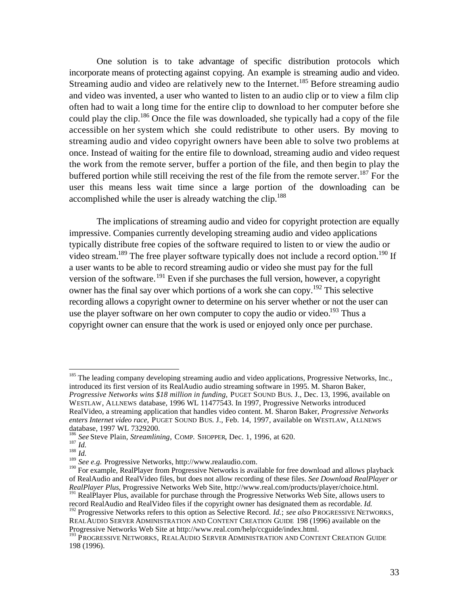One solution is to take advantage of specific distribution protocols which incorporate means of protecting against copying. An example is streaming audio and video. Streaming audio and video are relatively new to the Internet.<sup>185</sup> Before streaming audio and video was invented, a user who wanted to listen to an audio clip or to view a film clip often had to wait a long time for the entire clip to download to her computer before she could play the clip.<sup>186</sup> Once the file was downloaded, she typically had a copy of the file accessible on her system which she could redistribute to other users. By moving to streaming audio and video copyright owners have been able to solve two problems at once. Instead of waiting for the entire file to download, streaming audio and video request the work from the remote server, buffer a portion of the file, and then begin to play the buffered portion while still receiving the rest of the file from the remote server.<sup>187</sup> For the user this means less wait time since a large portion of the downloading can be accomplished while the user is already watching the clip.<sup>188</sup>

The implications of streaming audio and video for copyright protection are equally impressive. Companies currently developing streaming audio and video applications typically distribute free copies of the software required to listen to or view the audio or video stream.<sup>189</sup> The free player software typically does not include a record option.<sup>190</sup> If a user wants to be able to record streaming audio or video she must pay for the full version of the software.<sup>191</sup> Even if she purchases the full version, however, a copyright owner has the final say over which portions of a work she can copy.<sup>192</sup> This selective recording allows a copyright owner to determine on his server whether or not the user can use the player software on her own computer to copy the audio or video.<sup>193</sup> Thus a copyright owner can ensure that the work is used or enjoyed only once per purchase.

The leading company developing streaming audio and video applications, Progressive Networks, Inc., introduced its first version of its RealAudio audio streaming software in 1995. M. Sharon Baker, *Progressive Networks wins \$18 million in funding*, PUGET SOUND BUS. J., Dec. 13, 1996, available on WESTLAW, ALLNEWS database, 1996 WL 11477543. In 1997, Progressive Networks introduced

RealVideo, a streaming application that handles video content. M. Sharon Baker, *Progressive Networks enters Internet video race*, PUGET SOUND BUS. J., Feb. 14, 1997, available on WESTLAW, ALLNEWS database, 1997 WL 7329200.

<sup>&</sup>lt;sup>5</sup> See Steve Plain, *Streamlining*, COMP. SHOPPER, Dec. 1, 1996, at 620.  $\frac{187}{187}$  *Id.* 

<sup>188</sup> *Id.*

<sup>189</sup> *See e.g.* Progressive Networks, http://www.realaudio.com.

<sup>&</sup>lt;sup>190</sup> For example, RealPlayer from Progressive Networks is available for free download and allows playback of RealAudio and RealVideo files, but does not allow recording of these files. *See Download RealPlayer or RealPlayer Plus*, Progressive Networks Web Site, http://www.real.com/products/player/choice.html. <sup>191</sup> RealPlayer Plus, available for purchase through the Progressive Networks Web Site, allows users to

record RealAudio and RealVideo files if the copyright owner has designated them as recordable. *Id.* <sup>192</sup> Progressive Networks refers to this option as Selective Record. *Id.*; *see also* PROGRESSIVE NETWORKS,

REALAUDIO SERVER ADMINISTRATION AND CONTENT CREATION GUIDE 198 (1996) available on the Progressive Networks Web Site at http://www.real.com/help/ccguide/index.html.

<sup>&</sup>lt;sup>193</sup> Progressive Networks, RealAudio Server Administration and Content Creation Guide 198 (1996).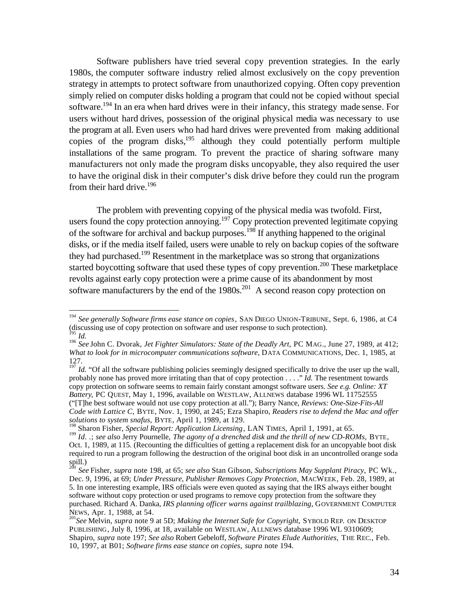Software publishers have tried several copy prevention strategies. In the early 1980s, the computer software industry relied almost exclusively on the copy prevention strategy in attempts to protect software from unauthorized copying. Often copy prevention simply relied on computer disks holding a program that could not be copied without special software.<sup>194</sup> In an era when hard drives were in their infancy, this strategy made sense. For users without hard drives, possession of the original physical media was necessary to use the program at all. Even users who had hard drives were prevented from making additional copies of the program disks, $195$  although they could potentially perform multiple installations of the same program. To prevent the practice of sharing software many manufacturers not only made the program disks uncopyable, they also required the user to have the original disk in their computer's disk drive before they could run the program from their hard drive.<sup>196</sup>

The problem with preventing copying of the physical media was twofold. First, users found the copy protection annoying.<sup>197</sup> Copy protection prevented legitimate copying of the software for archival and backup purposes.<sup>198</sup> If anything happened to the original disks, or if the media itself failed, users were unable to rely on backup copies of the software they had purchased.<sup>199</sup> Resentment in the marketplace was so strong that organizations started boycotting software that used these types of copy prevention.<sup>200</sup> These marketplace revolts against early copy protection were a prime cause of its abandonment by most software manufacturers by the end of the  $1980s$ <sup>201</sup> A second reason copy protection on

<sup>194</sup> *See generally Software firms ease stance on copies*, SAN DIEGO UNION-TRIBUNE, Sept. 6, 1986, at C4 (discussing use of copy protection on software and user response to such protection).

<sup>195</sup> *Id.*

<sup>196</sup> *See* John C. Dvorak, *Jet Fighter Simulators: State of the Deadly Art*, PC MAG., June 27, 1989, at 412; *What to look for in microcomputer communications software*, DATA COMMUNICATIONS, Dec. 1, 1985, at 127.

 $\frac{197}{197}$  *Id.* "Of all the software publishing policies seemingly designed specifically to drive the user up the wall, probably none has proved more irritating than that of copy protection . . . ." *Id.* The resentment towards copy protection on software seems to remain fairly constant amongst software users. *See e.g. Online: XT Battery*, PC QUEST, May 1, 1996, available on WESTLAW, ALLNEWS database 1996 WL 11752555 ("[T]he best software would not use copy protection at all."); Barry Nance, *Reviews: One-Size-Fits-All Code with Lattice C*, BYTE, Nov. 1, 1990, at 245; Ezra Shapiro, *Readers rise to defend the Mac and offer solutions to system snafus*, BYTE, April 1, 1989, at 129.

<sup>&</sup>lt;sup>8</sup> Sharon Fisher, *Special Report: Application Licensing*, LAN TIMES, April 1, 1991, at 65.

<sup>199</sup> *Id. .*; *see also* Jerry Pournelle, *The agony of a drenched disk and the thrill of new CD-ROMs*, BYTE, Oct. 1, 1989, at 115. (Recounting the difficulties of getting a replacement disk for an uncopyable boot disk required to run a program following the destruction of the original boot disk in an uncontrolled orange soda spill.)

<sup>200</sup> *See* Fisher, *supra* note 198, at 65; *see also* Stan Gibson, *Subscriptions May Supplant Piracy*, PC Wk., Dec. 9, 1996, at 69; *Under Pressure, Publisher Removes Copy Protection*, MACWEEK, Feb. 28, 1989, at 5. In one interesting example, IRS officials were even quoted as saying that the IRS always either bought software without copy protection or used programs to remove copy protection from the software they purchased. Richard A. Danka, *IRS planning officer warns against trailblazing*, GOVERNMENT COMPUTER NEWS, Apr. 1, 1988, at 54.

<sup>201</sup>*See* Melvin*, supra* note 9 at 5D; *Making the Internet Safe for Copyright*, SYBOLD REP. ON DESKTOP PUBLISHING, July 8, 1996, at 18, available on WESTLAW, ALLNEWS database 1996 WL 9310609; Shapiro, *supra* note 197; *See also* Robert Gebeloff, *Software Pirates Elude Authorities*, THE REC., Feb. 10, 1997, at B01; *Software firms ease stance on copies*, *supra* note 194.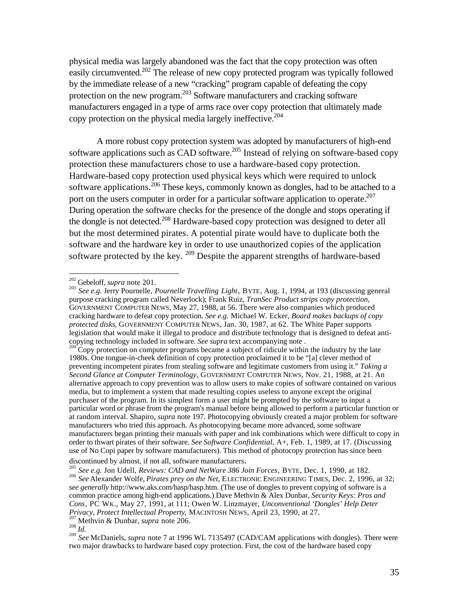physical media was largely abandoned was the fact that the copy protection was often easily circumvented.<sup>202</sup> The release of new copy protected program was typically followed by the immediate release of a new "cracking" program capable of defeating the copy protection on the new program.<sup>203</sup> Software manufacturers and cracking software manufacturers engaged in a type of arms race over copy protection that ultimately made copy protection on the physical media largely ineffective.<sup>204</sup>

A more robust copy protection system was adopted by manufacturers of high-end software applications such as CAD software.<sup>205</sup> Instead of relying on software-based copy protection these manufacturers chose to use a hardware-based copy protection. Hardware-based copy protection used physical keys which were required to unlock software applications.<sup>206</sup> These keys, commonly known as dongles, had to be attached to a port on the users computer in order for a particular software application to operate.<sup>207</sup> During operation the software checks for the presence of the dongle and stops operating if the dongle is not detected.<sup>208</sup> Hardware-based copy protection was designed to deter all but the most determined pirates. A potential pirate would have to duplicate both the software and the hardware key in order to use unauthorized copies of the application software protected by the key. <sup>209</sup> Despite the apparent strengths of hardware-based

<sup>202</sup> Gebeloff, *supra* note 201.

<sup>203</sup> *See e.g.* Jerry Pournelle, *Pournelle Travelling Light*, BYTE, Aug. 1, 1994, at 193 (discussing general purpose cracking program called Neverlock); Frank Ruiz, *TranSec Product strips copy protection*, GOVERNMENT COMPUTER NEWS, May 27, 1988, at 56. There were also companies which produced cracking hardware to defeat copy protection. *See e.g.* Michael W. Ecker, *Board makes backups of copy protected disks*, GOVERNMENT COMPUTER NEWS, Jan. 30, 1987, at 62. The White Paper supports legislation that would make it illegal to produce and distribute technology that is designed to defeat anticopying technology included in software. *See supra* text accompanying note .

Copy protection on computer programs became a subject of ridicule within the industry by the late 1980s. One tongue-in-cheek definition of copy protection proclaimed it to be "[a] clever method of preventing incompetent pirates from stealing software and legitimate customers from using it." *Taking a Second Glance at Computer Terminology*, GOVERNMENT COMPUTER NEWS, Nov. 21, 1988, at 21. An alternative approach to copy prevention was to allow users to make copies of software contained on various media, but to implement a system that made resulting copies useless to anyone except the original purchaser of the program. In its simplest form a user might be prompted by the software to input a particular word or phrase from the program's manual before being allowed to perform a particular function or at random interval. Shapiro, *supra* note 197. Photocopying obviously created a major problem for software manufacturers who tried this approach. As photocopying became more advanced, some software manufacturers began printing their manuals with paper and ink combinations which were difficult to copy in order to thwart pirates of their software. *See Software Confidential*, A+, Feb. 1, 1989, at 17. (Discussing use of No Copi paper by software manufacturers). This method of photocopy protection has since been

discontinued by almost, if not all, software manufacturers.

<sup>205</sup> *See e.g.* Jon Udell, *Reviews: CAD and NetWare 386 Join Forces*, BYTE, Dec. 1, 1990, at 182. <sup>206</sup> See Alexander Wolfe, *Pirates prey on the Net*, ELECTRONIC ENGINEERING TIMES, Dec. 2, 1996, at 32; *see generally* http://www.aks.com/hasp/hasp.htm. (The use of dongles to prevent copying of software is a common practice among high-end applications.) Dave Methvin & Alex Dunbar, *Security Keys: Pros and Cons*, PC WK., May 27, 1991, at 111; Owen W. Linzmayer, *Unconventional 'Dongles' Help Deter Privacy, Protect Intellectual Property*, MACINTOSH NEWS, April 23, 1990, at 27. <sup>207</sup> Methvin & Dunbar, *supra* note 206.

<sup>208</sup> *Id.*

<sup>209</sup> *See* McDaniels, *supra* note 7 at 1996 WL 7135497 (CAD/CAM applications with dongles). There were two major drawbacks to hardware based copy protection. First, the cost of the hardware based copy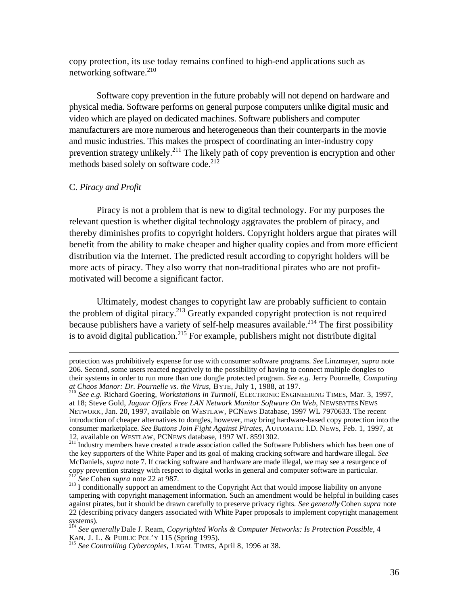copy protection, its use today remains confined to high-end applications such as networking software.<sup>210</sup>

Software copy prevention in the future probably will not depend on hardware and physical media. Software performs on general purpose computers unlike digital music and video which are played on dedicated machines. Software publishers and computer manufacturers are more numerous and heterogeneous than their counterparts in the movie and music industries. This makes the prospect of coordinating an inter-industry copy prevention strategy unlikely.<sup>211</sup> The likely path of copy prevention is encryption and other methods based solely on software code.<sup>212</sup>

#### C. *Piracy and Profit*

 $\overline{a}$ 

Piracy is not a problem that is new to digital technology. For my purposes the relevant question is whether digital technology aggravates the problem of piracy, and thereby diminishes profits to copyright holders. Copyright holders argue that pirates will benefit from the ability to make cheaper and higher quality copies and from more efficient distribution via the Internet. The predicted result according to copyright holders will be more acts of piracy. They also worry that non-traditional pirates who are not profitmotivated will become a significant factor.

Ultimately, modest changes to copyright law are probably sufficient to contain the problem of digital piracy.<sup>213</sup> Greatly expanded copyright protection is not required because publishers have a variety of self-help measures available.<sup>214</sup> The first possibility is to avoid digital publication.<sup>215</sup> For example, publishers might not distribute digital

protection was prohibitively expense for use with consumer software programs. *See* Linzmayer, *supra* note 206. Second, some users reacted negatively to the possibility of having to connect multiple dongles to their systems in order to run more than one dongle protected program. *See e.g.* Jerry Pournelle, *Computing at Chaos Manor: Dr. Pournelle vs. the Virus*, BYTE, July 1, 1988, at 197.

<sup>210</sup> *See e.g.* Richard Goering, *Workstations in Turmoil*, ELECTRONIC ENGINEERING TIMES, Mar. 3, 1997, at 18; Steve Gold, *Jaguar Offers Free LAN Network Monitor Software On Web*, NEWSBYTES NEWS NETWORK, Jan. 20, 1997, available on WESTLAW, PCNEWS Database, 1997 WL 7970633. The recent introduction of cheaper alternatives to dongles, however, may bring hardware-based copy protection into the consumer marketplace. *See Buttons Join Fight Against Pirates*, AUTOMATIC I.D. NEWS, Feb. 1, 1997, at 12, available on WESTLAW, PCNEWS database, 1997 WL 8591302.

<sup>&</sup>lt;sup>211</sup> Industry members have created a trade association called the Software Publishers which has been one of the key supporters of the White Paper and its goal of making cracking software and hardware illegal. *See* McDaniels, *supra* note 7. If cracking software and hardware are made illegal, we may see a resurgence of copy prevention strategy with respect to digital works in general and computer software in particular. <sup>212</sup> *See* Cohen *supra* note 22 at 987.

<sup>&</sup>lt;sup>213</sup> I conditionally support an amendment to the Copyright Act that would impose liability on anyone tampering with copyright management information. Such an amendment would be helpful in building cases against pirates, but it should be drawn carefully to preserve privacy rights. *See generally* Cohen *supra* note 22 (describing privacy dangers associated with White Paper proposals to implement copyright management systems).<br> $214$  Separate

<sup>214</sup> *See generally* Dale J. Ream, *Copyrighted Works & Computer Networks: Is Protection Possible,* 4 KAN. J. L. & PUBLIC POL'Y 115 (Spring 1995).

<sup>215</sup> *See Controlling Cybercopies,* LEGAL TIMES, April 8, 1996 at 38.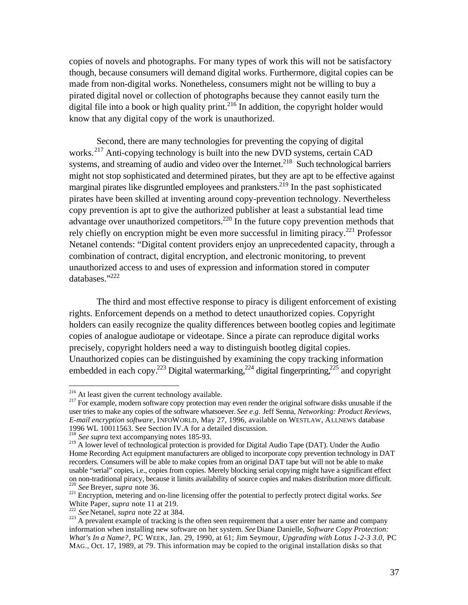copies of novels and photographs. For many types of work this will not be satisfactory though, because consumers will demand digital works. Furthermore, digital copies can be made from non-digital works. Nonetheless, consumers might not be willing to buy a pirated digital novel or collection of photographs because they cannot easily turn the digital file into a book or high quality print.<sup>216</sup> In addition, the copyright holder would know that any digital copy of the work is unauthorized.

Second, there are many technologies for preventing the copying of digital works.<sup>217</sup> Anti-copying technology is built into the new DVD systems, certain CAD systems, and streaming of audio and video over the Internet.<sup>218</sup> Such technological barriers might not stop sophisticated and determined pirates, but they are apt to be effective against marginal pirates like disgruntled employees and pranksters.<sup>219</sup> In the past sophisticated pirates have been skilled at inventing around copy-prevention technology. Nevertheless copy prevention is apt to give the authorized publisher at least a substantial lead time advantage over unauthorized competitors.<sup>220</sup> In the future copy prevention methods that rely chiefly on encryption might be even more successful in limiting piracy.<sup>221</sup> Professor Netanel contends: "Digital content providers enjoy an unprecedented capacity, through a combination of contract, digital encryption, and electronic monitoring, to prevent unauthorized access to and uses of expression and information stored in computer databases."<sup>222</sup>

The third and most effective response to piracy is diligent enforcement of existing rights. Enforcement depends on a method to detect unauthorized copies. Copyright holders can easily recognize the quality differences between bootleg copies and legitimate copies of analogue audiotape or videotape. Since a pirate can reproduce digital works precisely, copyright holders need a way to distinguish bootleg digital copies. Unauthorized copies can be distinguished by examining the copy tracking information embedded in each copy.<sup>223</sup> Digital watermarking,<sup>224</sup> digital fingerprinting,<sup>225</sup> and copyright

 $^{216}$  At least given the current technology available.

 $2^{17}$  For example, modern software copy protection may even render the original software disks unusable if the user tries to make any copies of the software whatsoever. *See e.g.* Jeff Senna, *Networking: Product Reviews, E-mail encryption software*, INFOWORLD, May 27, 1996, available on WESTLAW, ALLNEWS database 1996 WL 10011563. See Section IV.A for a detailed discussion.

<sup>&</sup>lt;sup>218</sup> *See supra* text accompanying notes 185-93.

<sup>&</sup>lt;sup>219</sup> A lower level of technological protection is provided for Digital Audio Tape (DAT). Under the Audio Home Recording Act equipment manufacturers are obliged to incorporate copy prevention technology in DAT recorders. Consumers will be able to make copies from an original DAT tape but will not be able to make usable "serial" copies, i.e., copies from copies. Merely blocking serial copying might have a significant effect on non-traditional piracy, because it limits availability of source copies and makes distribution more difficult. <sup>220</sup> *See* Breyer, *supra* note 36.

<sup>221</sup> Encryption, metering and on-line licensing offer the potential to perfectly protect digital works. *See* White Paper, *supra* note 11 at 219.

<sup>222</sup> *See* Netanel, *supra* note 22 at 384.

 $^{223}$  A prevalent example of tracking is the often seen requirement that a user enter her name and company information when installing new software on her system. *See* Diane Danielle, *Software Copy Protection: What's In a Name?*, PC WEEK, Jan. 29, 1990, at 61; Jim Seymour, *Upgrading with Lotus 1-2-3 3.0*, PC MAG., Oct. 17, 1989, at 79. This information may be copied to the original installation disks so that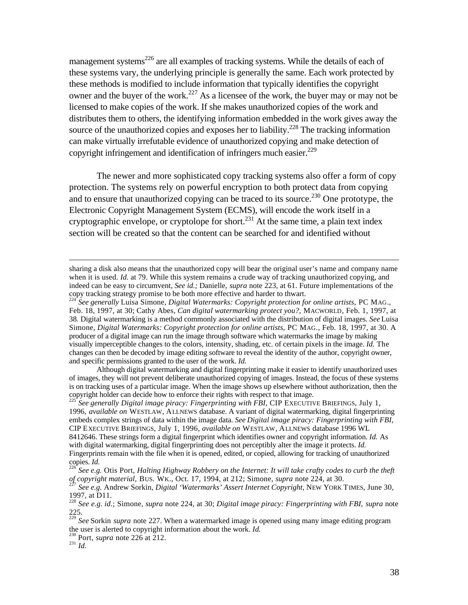management systems<sup>226</sup> are all examples of tracking systems. While the details of each of these systems vary, the underlying principle is generally the same. Each work protected by these methods is modified to include information that typically identifies the copyright owner and the buyer of the work.<sup>227</sup> As a licensee of the work, the buyer may or may not be licensed to make copies of the work. If she makes unauthorized copies of the work and distributes them to others, the identifying information embedded in the work gives away the source of the unauthorized copies and exposes her to liability.<sup>228</sup> The tracking information can make virtually irrefutable evidence of unauthorized copying and make detection of copyright infringement and identification of infringers much easier. $229$ 

The newer and more sophisticated copy tracking systems also offer a form of copy protection. The systems rely on powerful encryption to both protect data from copying and to ensure that unauthorized copying can be traced to its source.<sup>230</sup> One prototype, the Electronic Copyright Management System (ECMS), will encode the work itself in a cryptographic envelope, or cryptolope for short.<sup>231</sup> At the same time, a plain text index section will be created so that the content can be searched for and identified without

Although digital watermarking and digital fingerprinting make it easier to identify unauthorized uses of images, they will not prevent deliberate unauthorized copying of images. Instead, the focus of these systems is on tracking uses of a particular image. When the image shows up elsewhere without authorization, then the copyright holder can decide how to enforce their rights with respect to that image.

<sup>25</sup> See generally Digital image piracy: Fingerprinting with FBI, CIP EXECUTIVE BRIEFINGS, July 1, 1996, *available on* WESTLAW, ALLNEWS database. A variant of digital watermarking, digital fingerprinting embeds complex strings of data within the image data. *See Digital image piracy: Fingerprinting with FBI*, CIP EXECUTIVE BRIEFINGS, July 1, 1996, *available on* WESTLAW, ALLNEWS database 1996 WL 8412646. These strings form a digital fingerprint which identifies owner and copyright information. *Id.* As with digital watermarking, digital fingerprinting does not perceptibly alter the image it protects. *Id.* Fingerprints remain with the file when it is opened, edited, or copied, allowing for tracking of unauthorized copies. *Id.*

sharing a disk also means that the unauthorized copy will bear the original user's name and company name when it is used. *Id.* at 79. While this system remains a crude way of tracking unauthorized copying, and indeed can be easy to circumvent, *See id.;* Danielle, *supra* note 223, at 61. Future implementations of the copy tracking strategy promise to be both more effective and harder to thwart.

<sup>224</sup> *See generally* Luisa Simone, *Digital Watermarks: Copyright protection for online artists*, PC MAG., Feb. 18, 1997, at 30; Cathy Abes, *Can digital watermarking protect you?*, MACWORLD, Feb. 1, 1997, at 38. Digital watermarking is a method commonly associated with the distribution of digital images. *See* Luisa Simone, *Digital Watermarks: Copyright protection for online artists*, PC MAG., Feb. 18, 1997, at 30. A producer of a digital image can run the image through software which watermarks the image by making visually imperceptible changes to the colors, intensity, shading, etc. of certain pixels in the image. *Id*. The changes can then be decoded by image editing software to reveal the identity of the author, copyright owner, and specific permissions granted to the user of the work. *Id.*

<sup>226</sup> *See e.g.* Otis Port, *Halting Highway Robbery on the Internet: It will take crafty codes to curb the theft of copyright material*, BUS. WK., Oct. 17, 1994, at 212; Simone, *supra* note 224, at 30.

<sup>227</sup> *See e.g.* Andrew Sorkin, *Digital 'Watermarks' Assert Internet Copyright,* NEW YORK TIMES, June 30, 1997, at D11.

<sup>228</sup> *See e.g. id.*; Simone, *supra* note 224, at 30; *Digital image piracy: Fingerprinting with FBI*, *supra* note 225.

<sup>229</sup> *See* Sorkin *supra* note 227. When a watermarked image is opened using many image editing program the user is alerted to copyright information about the work. *Id.*<br><sup>230</sup> Borth and *CO*<sub>2</sub> Contains the work. *Id.* 

<sup>&</sup>lt;sup>230</sup> Port, *supra* note 226 at 212.

<sup>231</sup> *Id.*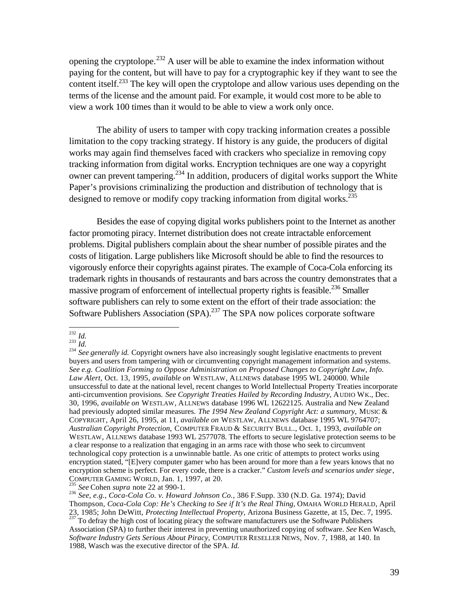opening the cryptolope.<sup>232</sup> A user will be able to examine the index information without paying for the content, but will have to pay for a cryptographic key if they want to see the content itself.<sup>233</sup> The key will open the cryptolope and allow various uses depending on the terms of the license and the amount paid. For example, it would cost more to be able to view a work 100 times than it would to be able to view a work only once.

The ability of users to tamper with copy tracking information creates a possible limitation to the copy tracking strategy. If history is any guide, the producers of digital works may again find themselves faced with crackers who specialize in removing copy tracking information from digital works. Encryption techniques are one way a copyright owner can prevent tampering.<sup>234</sup> In addition, producers of digital works support the White Paper's provisions criminalizing the production and distribution of technology that is designed to remove or modify copy tracking information from digital works.<sup>235</sup>

Besides the ease of copying digital works publishers point to the Internet as another factor promoting piracy. Internet distribution does not create intractable enforcement problems. Digital publishers complain about the shear number of possible pirates and the costs of litigation. Large publishers like Microsoft should be able to find the resources to vigorously enforce their copyrights against pirates. The example of Coca-Cola enforcing its trademark rights in thousands of restaurants and bars across the country demonstrates that a massive program of enforcement of intellectual property rights is feasible.<sup>236</sup> Smaller software publishers can rely to some extent on the effort of their trade association: the Software Publishers Association (SPA).<sup>237</sup> The SPA now polices corporate software

<sup>232</sup> *Id.*

 $\frac{1}{233}$  *Id.* 

<sup>&</sup>lt;sup>234</sup> See generally id. Copyright owners have also increasingly sought legislative enactments to prevent buyers and users from tampering with or circumventing copyright management information and systems. *See e.g. Coalition Forming to Oppose Administration on Proposed Changes to Copyright Law, Info. Law Alert*, Oct. 13, 1995, *available on* WESTLAW, ALLNEWS database 1995 WL 240000. While unsuccessful to date at the national level, recent changes to World Intellectual Property Treaties incorporate anti-circumvention provisions. *See Copyright Treaties Hailed by Recording Industry*, AUDIO WK., Dec. 30, 1996, *available on* WESTLAW, ALLNEWS database 1996 WL 12622125. Australia and New Zealand had previously adopted similar measures. *The 1994 New Zealand Copyright Act: a summary*, MUSIC & COPYRIGHT, April 26, 1995, at 11, *available on* WESTLAW, ALLNEWS database 1995 WL 9764707; *Australian Copyright Protection*, COMPUTER FRAUD & SECURITY BULL., Oct. 1, 1993, *available on* WESTLAW, ALLNEWS database 1993 WL 2577078. The efforts to secure legislative protection seems to be a clear response to a realization that engaging in an arms race with those who seek to circumvent technological copy protection is a unwinnable battle. As one critic of attempts to protect works using encryption stated, "[E]very computer gamer who has been around for more than a few years knows that no encryption scheme is perfect. For every code, there is a cracker." *Custom levels and scenarios under siege*, COMPUTER GAMING WORLD, Jan. 1, 1997, at 20.

<sup>235</sup> *See* Cohen *supra* note 22 at 990-1.

<sup>236</sup> *See, e.g., Coca-Cola Co. v. Howard Johnson Co.,* 386 F.Supp. 330 (N.D. Ga. 1974); David Thompson, *Coca-Cola Cop: He's Checking to See if It's the Real Thing,* OMAHA WORLD HERALD, April 23, 1985; John DeWitt, *Protecting Intellectual Property,* Arizona Business Gazette, at 15, Dec. 7, 1995.  $^{237}$  To defray the high cost of locating piracy the software manufacturers use the Software Publishers

Association (SPA) to further their interest in preventing unauthorized copying of software. *See* Ken Wasch, *Software Industry Gets Serious About Piracy*, COMPUTER RESELLER NEWS, Nov. 7, 1988, at 140. In 1988, Wasch was the executive director of the SPA. *Id.*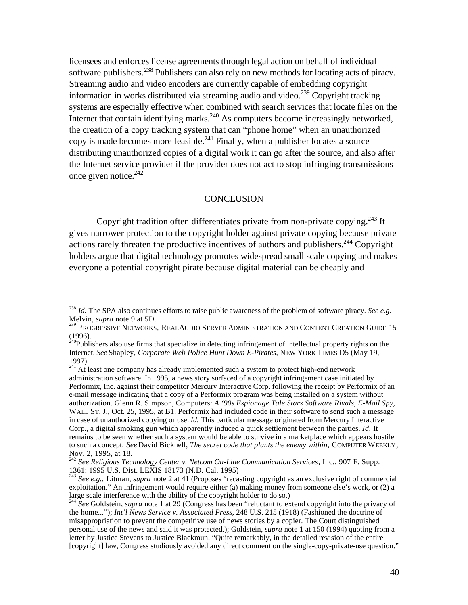licensees and enforces license agreements through legal action on behalf of individual software publishers.<sup>238</sup> Publishers can also rely on new methods for locating acts of piracy. Streaming audio and video encoders are currently capable of embedding copyright information in works distributed via streaming audio and video.<sup>239</sup> Copyright tracking systems are especially effective when combined with search services that locate files on the Internet that contain identifying marks. $240$  As computers become increasingly networked, the creation of a copy tracking system that can "phone home" when an unauthorized copy is made becomes more feasible.<sup>241</sup> Finally, when a publisher locates a source distributing unauthorized copies of a digital work it can go after the source, and also after the Internet service provider if the provider does not act to stop infringing transmissions once given notice. $242$ 

#### **CONCLUSION**

Copyright tradition often differentiates private from non-private copying.<sup>243</sup> It gives narrower protection to the copyright holder against private copying because private actions rarely threaten the productive incentives of authors and publishers.<sup>244</sup> Copyright holders argue that digital technology promotes widespread small scale copying and makes everyone a potential copyright pirate because digital material can be cheaply and

 $\overline{a}$ 

 $241$  At least one company has already implemented such a system to protect high-end network administration software. In 1995, a news story surfaced of a copyright infringement case initiated by Performix, Inc. against their competitor Mercury Interactive Corp. following the receipt by Performix of an e-mail message indicating that a copy of a Performix program was being installed on a system without authorization. Glenn R. Simpson, Computers: *A '90s Espionage Tale Stars Software Rivals, E-Mail Spy*, WALL ST. J., Oct. 25, 1995, at B1. Performix had included code in their software to send such a message in case of unauthorized copying or use. *Id.* This particular message originated from Mercury Interactive Corp., a digital smoking gun which apparently induced a quick settlement between the parties. *Id.* It remains to be seen whether such a system would be able to survive in a marketplace which appears hostile to such a concept. *See* David Bicknell, *The secret code that plants the enemy within*, COMPUTER WEEKLY, Nov. 2, 1995, at 18.

<sup>238</sup> *Id.* The SPA also continues efforts to raise public awareness of the problem of software piracy. *See e.g.* Melvin, *supra* note 9 at 5D.

<sup>&</sup>lt;sup>239</sup> PROGRESSIVE NETWORKS, REALAUDIO SERVER ADMINISTRATION AND CONTENT CREATION GUIDE 15 (1996).

 $^{240}$ Publishers also use firms that specialize in detecting infringement of intellectual property rights on the Internet. *See* Shapley, *Corporate Web Police Hunt Down E-Pirates*, NEW YORK TIMES D5 (May 19, 1997).

<sup>&</sup>lt;sup>242</sup> See Religious Technology Center v. Netcom On-Line Communication Services, Inc., 907 F. Supp. 1361; 1995 U.S. Dist. LEXIS 18173 (N.D. Cal. 1995)

<sup>243</sup> *See e.g.,* Litman, *supra* note 2 at 41 (Proposes "recasting copyright as an exclusive right of commercial exploitation." An infringement would require either (a) making money from someone else's work, or (2) a large scale interference with the ability of the copyright holder to do so.)

<sup>&</sup>lt;sup>244</sup> See Goldstein, *supra* note 1 at 29 (Congress has been "reluctant to extend copyright into the privacy of the home..."); *Int'l News Service v. Associated Press,* 248 U.S. 215 (1918) (Fashioned the doctrine of misappropriation to prevent the competitive use of news stories by a copier. The Court distinguished personal use of the news and said it was protected.); Goldstein, *supra* note 1 at 150 (1994) quoting from a letter by Justice Stevens to Justice Blackmun, "Quite remarkably, in the detailed revision of the entire [copyright] law, Congress studiously avoided any direct comment on the single-copy-private-use question."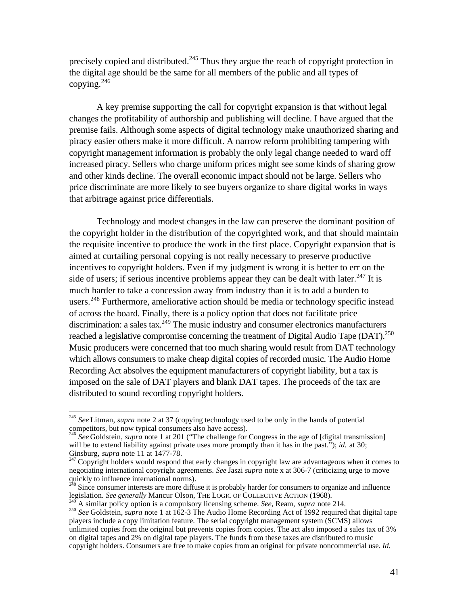precisely copied and distributed.<sup>245</sup> Thus they argue the reach of copyright protection in the digital age should be the same for all members of the public and all types of copying. $246$ 

A key premise supporting the call for copyright expansion is that without legal changes the profitability of authorship and publishing will decline. I have argued that the premise fails. Although some aspects of digital technology make unauthorized sharing and piracy easier others make it more difficult. A narrow reform prohibiting tampering with copyright management information is probably the only legal change needed to ward off increased piracy. Sellers who charge uniform prices might see some kinds of sharing grow and other kinds decline. The overall economic impact should not be large. Sellers who price discriminate are more likely to see buyers organize to share digital works in ways that arbitrage against price differentials.

Technology and modest changes in the law can preserve the dominant position of the copyright holder in the distribution of the copyrighted work, and that should maintain the requisite incentive to produce the work in the first place. Copyright expansion that is aimed at curtailing personal copying is not really necessary to preserve productive incentives to copyright holders. Even if my judgment is wrong it is better to err on the side of users; if serious incentive problems appear they can be dealt with later.<sup>247</sup> It is much harder to take a concession away from industry than it is to add a burden to users.<sup>248</sup> Furthermore, ameliorative action should be media or technology specific instead of across the board. Finally, there is a policy option that does not facilitate price discrimination: a sales  $\text{tax.}^{249}$  The music industry and consumer electronics manufacturers reached a legislative compromise concerning the treatment of Digital Audio Tape (DAT).<sup>250</sup> Music producers were concerned that too much sharing would result from DAT technology which allows consumers to make cheap digital copies of recorded music. The Audio Home Recording Act absolves the equipment manufacturers of copyright liability, but a tax is imposed on the sale of DAT players and blank DAT tapes. The proceeds of the tax are distributed to sound recording copyright holders.

<sup>245</sup> *See* Litman, *supra* note 2 at 37 (copying technology used to be only in the hands of potential competitors, but now typical consumers also have access).

<sup>&</sup>lt;sup>246</sup> See Goldstein, *supra* note 1 at 201 ("The challenge for Congress in the age of [digital transmission] will be to extend liability against private uses more promptly than it has in the past."); *id.* at 30; Ginsburg, *supra* note 11 at 1477-78.

 $247$  Copyright holders would respond that early changes in copyright law are advantageous when it comes to negotiating international copyright agreements. *See* Jaszi *supra* note x at 306-7 (criticizing urge to move quickly to influence international norms).

<sup>&</sup>lt;sup>18</sup> Since consumer interests are more diffuse it is probably harder for consumers to organize and influence legislation. *See generally* Mancur Olson, THE LOGIC OF COLLECTIVE ACTION (1968).

<sup>249</sup> A similar policy option is a compulsory licensing scheme. *See,* Ream, *supra* note 214.

<sup>250</sup> *See* Goldstein, *supra* note 1 at 162-3 The Audio Home Recording Act of 1992 required that digital tape players include a copy limitation feature. The serial copyright management system (SCMS) allows unlimited copies from the original but prevents copies from copies. The act also imposed a sales tax of 3% on digital tapes and 2% on digital tape players. The funds from these taxes are distributed to music copyright holders. Consumers are free to make copies from an original for private noncommercial use. *Id.*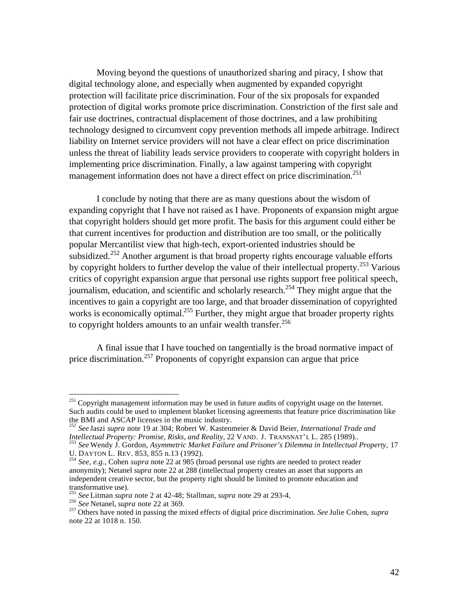Moving beyond the questions of unauthorized sharing and piracy, I show that digital technology alone, and especially when augmented by expanded copyright protection will facilitate price discrimination. Four of the six proposals for expanded protection of digital works promote price discrimination. Constriction of the first sale and fair use doctrines, contractual displacement of those doctrines, and a law prohibiting technology designed to circumvent copy prevention methods all impede arbitrage. Indirect liability on Internet service providers will not have a clear effect on price discrimination unless the threat of liability leads service providers to cooperate with copyright holders in implementing price discrimination. Finally, a law against tampering with copyright management information does not have a direct effect on price discrimination.<sup>251</sup>

I conclude by noting that there are as many questions about the wisdom of expanding copyright that I have not raised as I have. Proponents of expansion might argue that copyright holders should get more profit. The basis for this argument could either be that current incentives for production and distribution are too small, or the politically popular Mercantilist view that high-tech, export-oriented industries should be subsidized.<sup>252</sup> Another argument is that broad property rights encourage valuable efforts by copyright holders to further develop the value of their intellectual property.<sup>253</sup> Various critics of copyright expansion argue that personal use rights support free political speech, journalism, education, and scientific and scholarly research.<sup>254</sup> They might argue that the incentives to gain a copyright are too large, and that broader dissemination of copyrighted works is economically optimal.<sup>255</sup> Further, they might argue that broader property rights to copyright holders amounts to an unfair wealth transfer.<sup>256</sup>

A final issue that I have touched on tangentially is the broad normative impact of price discrimination.<sup>257</sup> Proponents of copyright expansion can argue that price

 $251$  Copyright management information may be used in future audits of copyright usage on the Internet. Such audits could be used to implement blanket licensing agreements that feature price discrimination like the BMI and ASCAP licenses in the music industry.

<sup>252</sup> *See* Jaszi *supra* note 19 at 304; Robert W. Kastenmeier & David Beier, *International Trade and Intellectual Property: Promise, Risks, and Reality,* 22 VAND. J. TRANSNAT'L L. 285 (1989).. <sup>253</sup> *See* Wendy J. Gordon, *Asymmetric Market Failure and Prisoner's Dilemma in Intellectual Property,* 17

U. DAYTON L. REV. 853, 855 n.13 (1992).

<sup>254</sup> *See, e.g.,* Cohen *supra* note 22 at 985 (broad personal use rights are needed to protect reader anonymity); Netanel *supra* note 22 at 288 (intellectual property creates an asset that supports an independent creative sector, but the property right should be limited to promote education and transformative use).

<sup>255</sup> *See* Litman *supra* note 2 at 42-48; Stallman, *supra* note 29 at 293-4,

<sup>256</sup> *See* Netanel, *supra* note 22 at 369.

<sup>257</sup> Others have noted in passing the mixed effects of digital price discrimination. *See* Julie Cohen, *supra* note 22 at 1018 n. 150.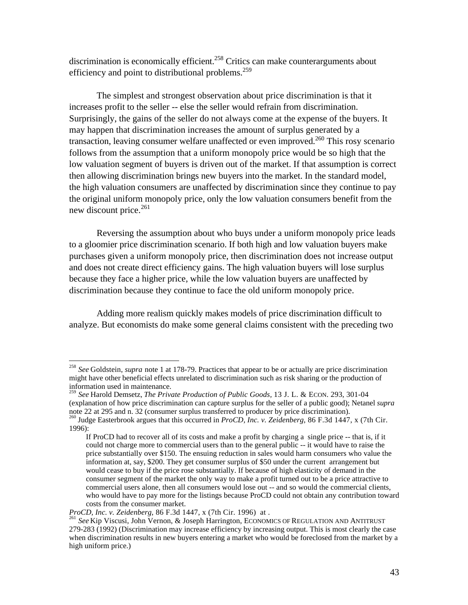discrimination is economically efficient.<sup>258</sup> Critics can make counterarguments about efficiency and point to distributional problems.<sup>259</sup>

The simplest and strongest observation about price discrimination is that it increases profit to the seller -- else the seller would refrain from discrimination. Surprisingly, the gains of the seller do not always come at the expense of the buyers. It may happen that discrimination increases the amount of surplus generated by a transaction, leaving consumer welfare unaffected or even improved.<sup>260</sup> This rosy scenario follows from the assumption that a uniform monopoly price would be so high that the low valuation segment of buyers is driven out of the market. If that assumption is correct then allowing discrimination brings new buyers into the market. In the standard model, the high valuation consumers are unaffected by discrimination since they continue to pay the original uniform monopoly price, only the low valuation consumers benefit from the new discount price.<sup>261</sup>

Reversing the assumption about who buys under a uniform monopoly price leads to a gloomier price discrimination scenario. If both high and low valuation buyers make purchases given a uniform monopoly price, then discrimination does not increase output and does not create direct efficiency gains. The high valuation buyers will lose surplus because they face a higher price, while the low valuation buyers are unaffected by discrimination because they continue to face the old uniform monopoly price.

Adding more realism quickly makes models of price discrimination difficult to analyze. But economists do make some general claims consistent with the preceding two

<sup>258</sup> *See* Goldstein, *supra* note 1 at 178-79. Practices that appear to be or actually are price discrimination might have other beneficial effects unrelated to discrimination such as risk sharing or the production of information used in maintenance.

<sup>259</sup> *See* Harold Demsetz, *The Private Production of Public Goods,* 13 J. L. & ECON. 293, 301-04 (explanation of how price discrimination can capture surplus for the seller of a public good); Netanel *supra* note 22 at 295 and n. 32 (consumer surplus transferred to producer by price discrimination). <sup>260</sup> Judge Easterbrook argues that this occurred in *ProCD*, Inc. v. Zeidenberg, 86 F.3d 1447, x (7th Cir. 1996):

If ProCD had to recover all of its costs and make a profit by charging a single price -- that is, if it could not charge more to commercial users than to the general public -- it would have to raise the price substantially over \$150. The ensuing reduction in sales would harm consumers who value the information at, say, \$200. They get consumer surplus of \$50 under the current arrangement but would cease to buy if the price rose substantially. If because of high elasticity of demand in the consumer segment of the market the only way to make a profit turned out to be a price attractive to commercial users alone, then all consumers would lose out -- and so would the commercial clients, who would have to pay more for the listings because ProCD could not obtain any contribution toward costs from the consumer market.

*ProCD, Inc. v. Zeidenberg*, 86 F.3d 1447, x (7th Cir. 1996) at .

<sup>261</sup> *See* Kip Viscusi, John Vernon, & Joseph Harrington, ECONOMICS OF REGULATION AND ANTITRUST 279-283 (1992) (Discrimination may increase efficiency by increasing output. This is most clearly the case when discrimination results in new buyers entering a market who would be foreclosed from the market by a high uniform price.)